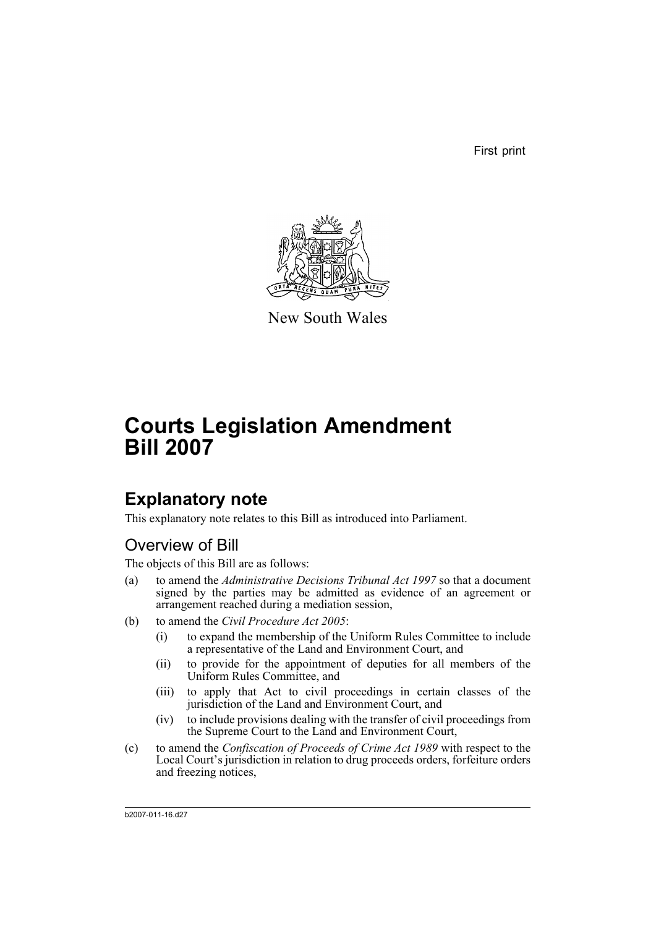First print



New South Wales

# **Courts Legislation Amendment Bill 2007**

## **Explanatory note**

This explanatory note relates to this Bill as introduced into Parliament.

## Overview of Bill

The objects of this Bill are as follows:

- (a) to amend the *Administrative Decisions Tribunal Act 1997* so that a document signed by the parties may be admitted as evidence of an agreement or arrangement reached during a mediation session,
- (b) to amend the *Civil Procedure Act 2005*:
	- (i) to expand the membership of the Uniform Rules Committee to include a representative of the Land and Environment Court, and
	- (ii) to provide for the appointment of deputies for all members of the Uniform Rules Committee, and
	- (iii) to apply that Act to civil proceedings in certain classes of the jurisdiction of the Land and Environment Court, and
	- (iv) to include provisions dealing with the transfer of civil proceedings from the Supreme Court to the Land and Environment Court,
- (c) to amend the *Confiscation of Proceeds of Crime Act 1989* with respect to the Local Court's jurisdiction in relation to drug proceeds orders, forfeiture orders and freezing notices,

b2007-011-16.d27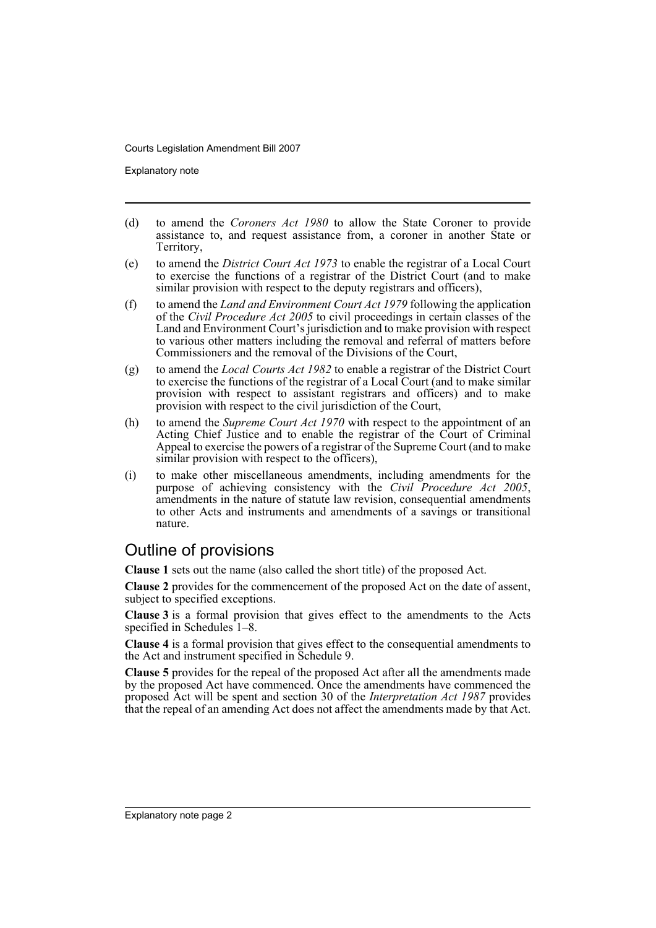Explanatory note

- (d) to amend the *Coroners Act 1980* to allow the State Coroner to provide assistance to, and request assistance from, a coroner in another State or Territory,
- (e) to amend the *District Court Act 1973* to enable the registrar of a Local Court to exercise the functions of a registrar of the District Court (and to make similar provision with respect to the deputy registrars and officers),
- (f) to amend the *Land and Environment Court Act 1979* following the application of the *Civil Procedure Act 2005* to civil proceedings in certain classes of the Land and Environment Court's jurisdiction and to make provision with respect to various other matters including the removal and referral of matters before Commissioners and the removal of the Divisions of the Court,
- (g) to amend the *Local Courts Act 1982* to enable a registrar of the District Court to exercise the functions of the registrar of a Local Court (and to make similar provision with respect to assistant registrars and officers) and to make provision with respect to the civil jurisdiction of the Court,
- (h) to amend the *Supreme Court Act 1970* with respect to the appointment of an Acting Chief Justice and to enable the registrar of the Court of Criminal Appeal to exercise the powers of a registrar of the Supreme Court (and to make similar provision with respect to the officers),
- (i) to make other miscellaneous amendments, including amendments for the purpose of achieving consistency with the *Civil Procedure Act 2005*, amendments in the nature of statute law revision, consequential amendments to other Acts and instruments and amendments of a savings or transitional nature.

## Outline of provisions

**Clause 1** sets out the name (also called the short title) of the proposed Act.

**Clause 2** provides for the commencement of the proposed Act on the date of assent, subject to specified exceptions.

**Clause 3** is a formal provision that gives effect to the amendments to the Acts specified in Schedules 1–8.

**Clause 4** is a formal provision that gives effect to the consequential amendments to the Act and instrument specified in Schedule 9.

**Clause 5** provides for the repeal of the proposed Act after all the amendments made by the proposed Act have commenced. Once the amendments have commenced the proposed Act will be spent and section 30 of the *Interpretation Act 1987* provides that the repeal of an amending Act does not affect the amendments made by that Act.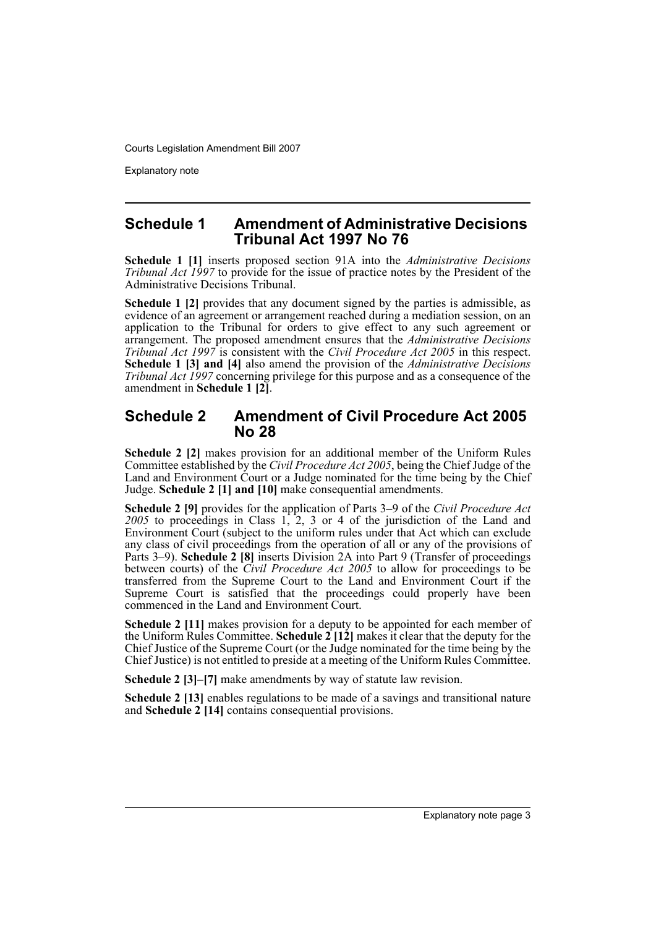Explanatory note

### **Schedule 1 Amendment of Administrative Decisions Tribunal Act 1997 No 76**

**Schedule 1 [1]** inserts proposed section 91A into the *Administrative Decisions Tribunal Act 1997* to provide for the issue of practice notes by the President of the Administrative Decisions Tribunal.

**Schedule 1 [2]** provides that any document signed by the parties is admissible, as evidence of an agreement or arrangement reached during a mediation session, on an application to the Tribunal for orders to give effect to any such agreement or arrangement. The proposed amendment ensures that the *Administrative Decisions Tribunal Act 1997* is consistent with the *Civil Procedure Act 2005* in this respect. **Schedule 1 [3] and [4]** also amend the provision of the *Administrative Decisions Tribunal Act 1997* concerning privilege for this purpose and as a consequence of the amendment in **Schedule 1 [2]**.

### **Schedule 2 Amendment of Civil Procedure Act 2005 No 28**

**Schedule 2 [2]** makes provision for an additional member of the Uniform Rules Committee established by the *Civil Procedure Act 2005*, being the Chief Judge of the Land and Environment Court or a Judge nominated for the time being by the Chief Judge. **Schedule 2 [1] and [10]** make consequential amendments.

**Schedule 2 [9]** provides for the application of Parts 3–9 of the *Civil Procedure Act 2005* to proceedings in Class 1, 2, 3 or 4 of the jurisdiction of the Land and Environment Court (subject to the uniform rules under that Act which can exclude any class of civil proceedings from the operation of all or any of the provisions of Parts 3–9). **Schedule 2 [8]** inserts Division 2A into Part 9 (Transfer of proceedings between courts) of the *Civil Procedure Act 2005* to allow for proceedings to be transferred from the Supreme Court to the Land and Environment Court if the Supreme Court is satisfied that the proceedings could properly have been commenced in the Land and Environment Court.

**Schedule 2 [11]** makes provision for a deputy to be appointed for each member of the Uniform Rules Committee. **Schedule 2 [12]** makes it clear that the deputy for the Chief Justice of the Supreme Court (or the Judge nominated for the time being by the Chief Justice) is not entitled to preside at a meeting of the Uniform Rules Committee.

**Schedule 2 [3]–[7]** make amendments by way of statute law revision.

**Schedule 2 [13]** enables regulations to be made of a savings and transitional nature and **Schedule 2 [14]** contains consequential provisions.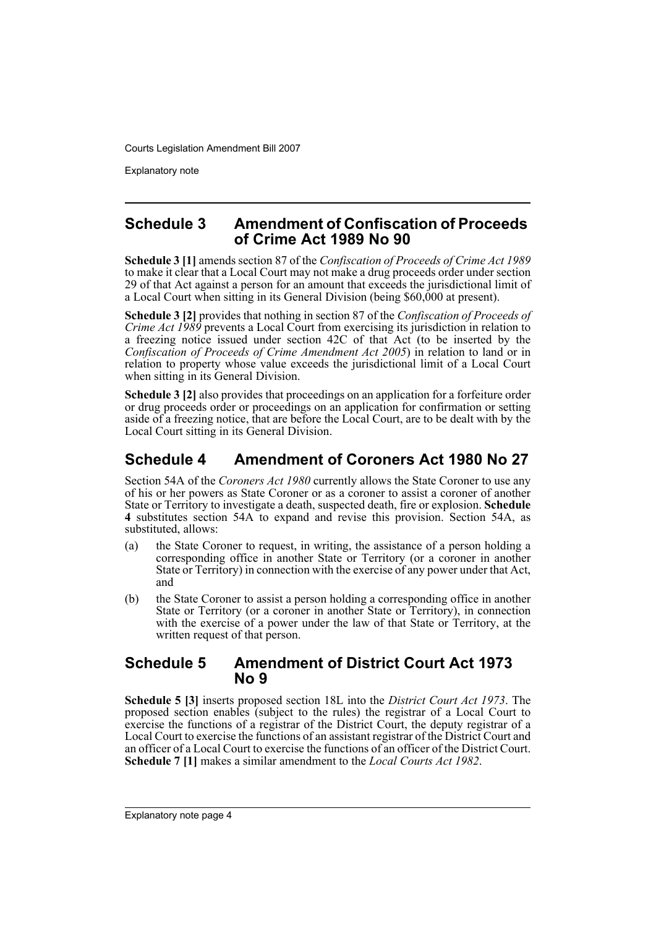Explanatory note

### **Schedule 3 Amendment of Confiscation of Proceeds of Crime Act 1989 No 90**

**Schedule 3 [1]** amends section 87 of the *Confiscation of Proceeds of Crime Act 1989* to make it clear that a Local Court may not make a drug proceeds order under section 29 of that Act against a person for an amount that exceeds the jurisdictional limit of a Local Court when sitting in its General Division (being \$60,000 at present).

**Schedule 3 [2]** provides that nothing in section 87 of the *Confiscation of Proceeds of Crime Act 1989* prevents a Local Court from exercising its jurisdiction in relation to a freezing notice issued under section 42C of that Act (to be inserted by the *Confiscation of Proceeds of Crime Amendment Act 2005*) in relation to land or in relation to property whose value exceeds the jurisdictional limit of a Local Court when sitting in its General Division.

**Schedule 3 [2]** also provides that proceedings on an application for a forfeiture order or drug proceeds order or proceedings on an application for confirmation or setting aside of a freezing notice, that are before the Local Court, are to be dealt with by the Local Court sitting in its General Division.

## **Schedule 4 Amendment of Coroners Act 1980 No 27**

Section 54A of the *Coroners Act 1980* currently allows the State Coroner to use any of his or her powers as State Coroner or as a coroner to assist a coroner of another State or Territory to investigate a death, suspected death, fire or explosion. **Schedule 4** substitutes section 54A to expand and revise this provision. Section 54A, as substituted, allows:

- (a) the State Coroner to request, in writing, the assistance of a person holding a corresponding office in another State or Territory (or a coroner in another State or Territory) in connection with the exercise of any power under that Act, and
- (b) the State Coroner to assist a person holding a corresponding office in another State or Territory (or a coroner in another State or Territory), in connection with the exercise of a power under the law of that State or Territory, at the written request of that person.

### **Schedule 5 Amendment of District Court Act 1973 No 9**

**Schedule 5 [3]** inserts proposed section 18L into the *District Court Act 1973*. The proposed section enables (subject to the rules) the registrar of a Local Court to exercise the functions of a registrar of the District Court, the deputy registrar of a Local Court to exercise the functions of an assistant registrar of the District Court and an officer of a Local Court to exercise the functions of an officer of the District Court. **Schedule 7 [1]** makes a similar amendment to the *Local Courts Act 1982*.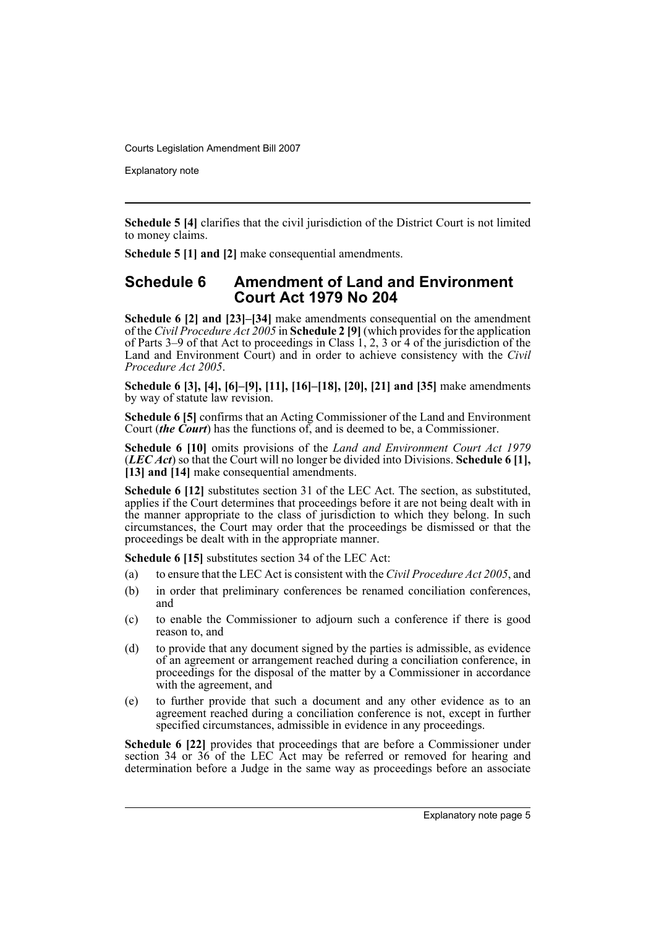Explanatory note

**Schedule 5 [4]** clarifies that the civil jurisdiction of the District Court is not limited to money claims.

**Schedule 5 [1] and [2]** make consequential amendments.

### **Schedule 6 Amendment of Land and Environment Court Act 1979 No 204**

**Schedule 6 [2] and [23]–[34]** make amendments consequential on the amendment of the *Civil Procedure Act 2005* in **Schedule 2 [9]** (which provides for the application of Parts 3–9 of that Act to proceedings in Class 1, 2, 3 or 4 of the jurisdiction of the Land and Environment Court) and in order to achieve consistency with the *Civil Procedure Act 2005*.

**Schedule 6 [3], [4], [6]–[9], [11], [16]–[18], [20], [21] and [35]** make amendments by way of statute law revision.

**Schedule 6 [5]** confirms that an Acting Commissioner of the Land and Environment Court (*the Court*) has the functions of, and is deemed to be, a Commissioner.

**Schedule 6 [10]** omits provisions of the *Land and Environment Court Act 1979* (*LEC Act*) so that the Court will no longer be divided into Divisions. **Schedule 6 [1], [13] and [14]** make consequential amendments.

**Schedule 6 [12]** substitutes section 31 of the LEC Act. The section, as substituted, applies if the Court determines that proceedings before it are not being dealt with in the manner appropriate to the class of jurisdiction to which they belong. In such circumstances, the Court may order that the proceedings be dismissed or that the proceedings be dealt with in the appropriate manner.

**Schedule 6 [15]** substitutes section 34 of the LEC Act:

- (a) to ensure that the LEC Act is consistent with the *Civil Procedure Act 2005*, and
- (b) in order that preliminary conferences be renamed conciliation conferences, and
- (c) to enable the Commissioner to adjourn such a conference if there is good reason to, and
- (d) to provide that any document signed by the parties is admissible, as evidence of an agreement or arrangement reached during a conciliation conference, in proceedings for the disposal of the matter by a Commissioner in accordance with the agreement, and
- (e) to further provide that such a document and any other evidence as to an agreement reached during a conciliation conference is not, except in further specified circumstances, admissible in evidence in any proceedings.

**Schedule 6 [22]** provides that proceedings that are before a Commissioner under section 34 or 36 of the LEC Act may be referred or removed for hearing and determination before a Judge in the same way as proceedings before an associate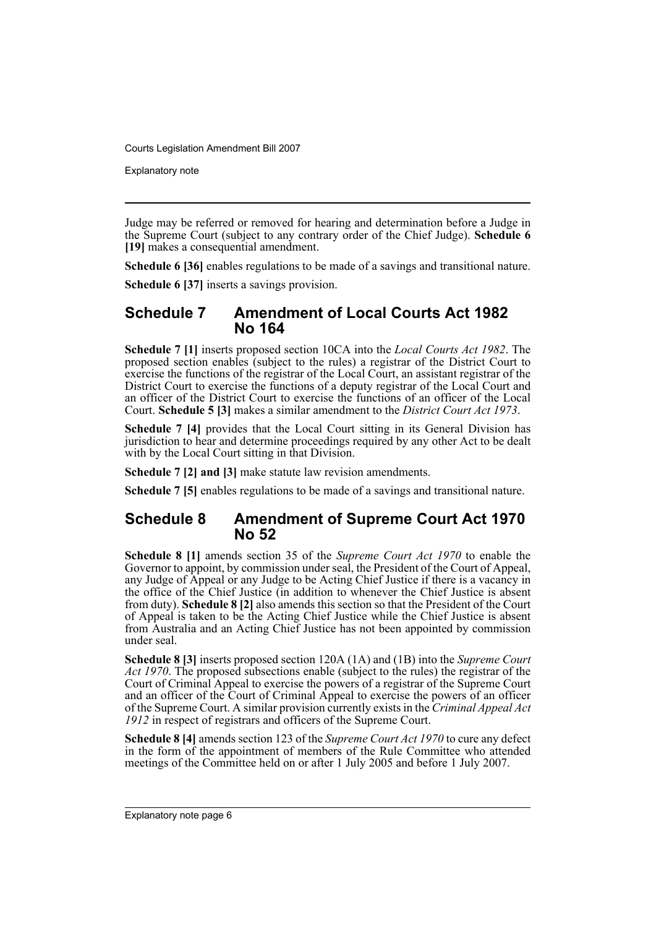Explanatory note

Judge may be referred or removed for hearing and determination before a Judge in the Supreme Court (subject to any contrary order of the Chief Judge). **Schedule 6 [19]** makes a consequential amendment.

**Schedule 6 [36]** enables regulations to be made of a savings and transitional nature.

**Schedule 6 [37]** inserts a savings provision.

### **Schedule 7 Amendment of Local Courts Act 1982 No 164**

**Schedule 7 [1]** inserts proposed section 10CA into the *Local Courts Act 1982*. The proposed section enables (subject to the rules) a registrar of the District Court to exercise the functions of the registrar of the Local Court, an assistant registrar of the District Court to exercise the functions of a deputy registrar of the Local Court and an officer of the District Court to exercise the functions of an officer of the Local Court. **Schedule 5 [3]** makes a similar amendment to the *District Court Act 1973*.

**Schedule 7 [4]** provides that the Local Court sitting in its General Division has jurisdiction to hear and determine proceedings required by any other Act to be dealt with by the Local Court sitting in that Division.

**Schedule 7 [2] and [3]** make statute law revision amendments.

**Schedule 7 [5]** enables regulations to be made of a savings and transitional nature.

### **Schedule 8 Amendment of Supreme Court Act 1970 No 52**

**Schedule 8 [1]** amends section 35 of the *Supreme Court Act 1970* to enable the Governor to appoint, by commission under seal, the President of the Court of Appeal, any Judge of Appeal or any Judge to be Acting Chief Justice if there is a vacancy in the office of the Chief Justice (in addition to whenever the Chief Justice is absent from duty). **Schedule 8 [2]** also amends this section so that the President of the Court of Appeal is taken to be the Acting Chief Justice while the Chief Justice is absent from Australia and an Acting Chief Justice has not been appointed by commission under seal.

**Schedule 8 [3]** inserts proposed section 120A (1A) and (1B) into the *Supreme Court Act 1970*. The proposed subsections enable (subject to the rules) the registrar of the Court of Criminal Appeal to exercise the powers of a registrar of the Supreme Court and an officer of the Court of Criminal Appeal to exercise the powers of an officer of the Supreme Court. A similar provision currently exists in the *Criminal Appeal Act 1912* in respect of registrars and officers of the Supreme Court.

**Schedule 8 [4]** amends section 123 of the *Supreme Court Act 1970* to cure any defect in the form of the appointment of members of the Rule Committee who attended meetings of the Committee held on or after 1 July 2005 and before 1 July 2007.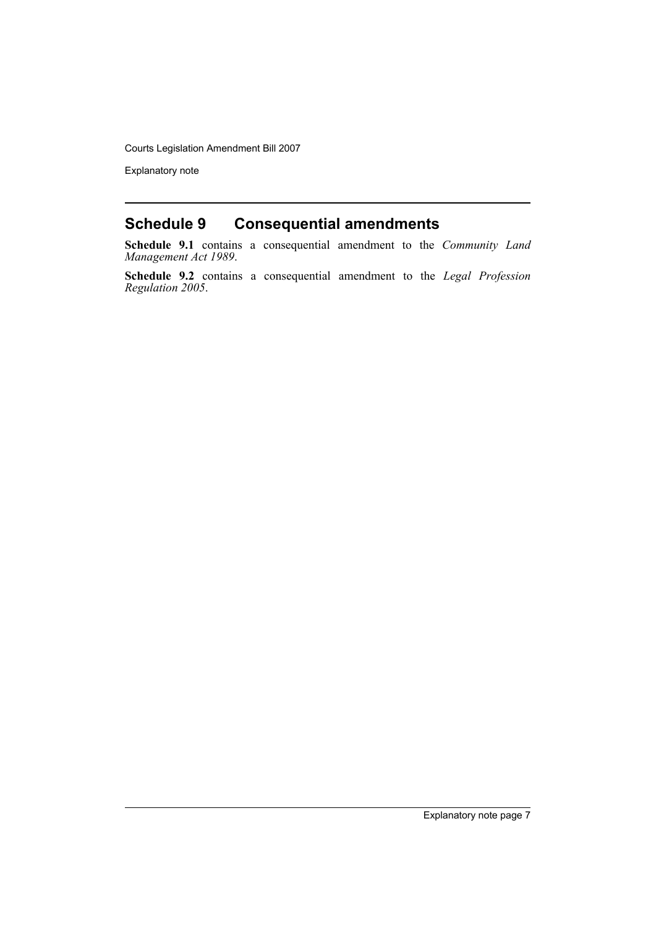Explanatory note

## **Schedule 9 Consequential amendments**

**Schedule 9.1** contains a consequential amendment to the *Community Land Management Act 1989*.

**Schedule 9.2** contains a consequential amendment to the *Legal Profession Regulation 2005*.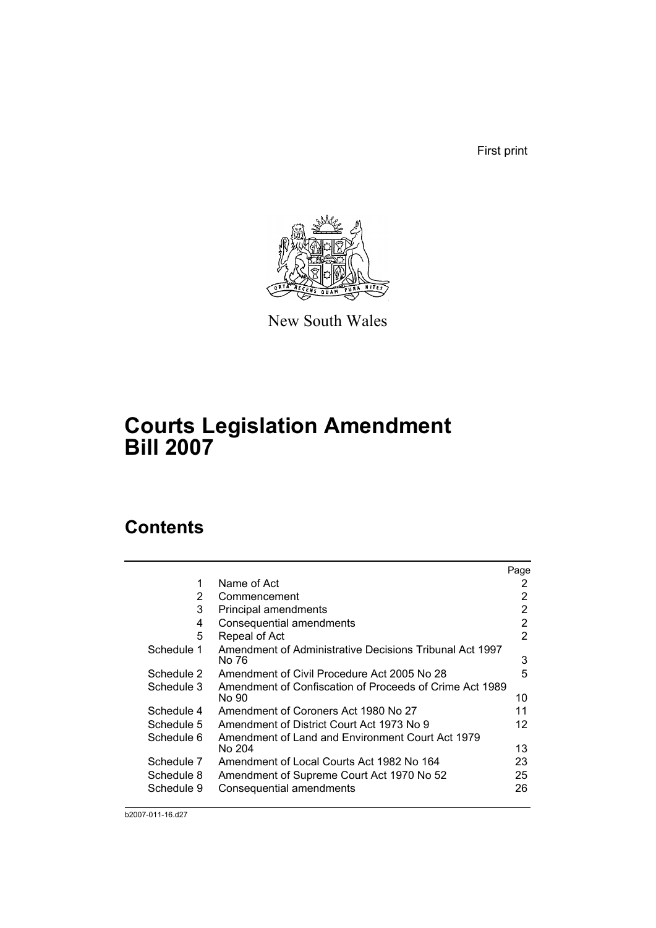First print



New South Wales

## **Courts Legislation Amendment Bill 2007**

## **Contents**

|            |                                                                  | Page |
|------------|------------------------------------------------------------------|------|
| 1          | Name of Act                                                      | 2    |
| 2          | Commencement                                                     | 2    |
| 3          | Principal amendments                                             | 2    |
| 4          | Consequential amendments                                         | 2    |
| 5          | Repeal of Act                                                    | 2    |
| Schedule 1 | Amendment of Administrative Decisions Tribunal Act 1997<br>No 76 | 3    |
| Schedule 2 | Amendment of Civil Procedure Act 2005 No 28                      | 5    |
| Schedule 3 | Amendment of Confiscation of Proceeds of Crime Act 1989<br>No 90 | 10   |
| Schedule 4 | Amendment of Coroners Act 1980 No 27                             | 11   |
| Schedule 5 | Amendment of District Court Act 1973 No 9                        | 12   |
| Schedule 6 | Amendment of Land and Environment Court Act 1979<br>No 204       | 13   |
| Schedule 7 | Amendment of Local Courts Act 1982 No 164                        | 23   |
| Schedule 8 | Amendment of Supreme Court Act 1970 No 52                        | 25   |
| Schedule 9 | Consequential amendments                                         | 26   |

b2007-011-16.d27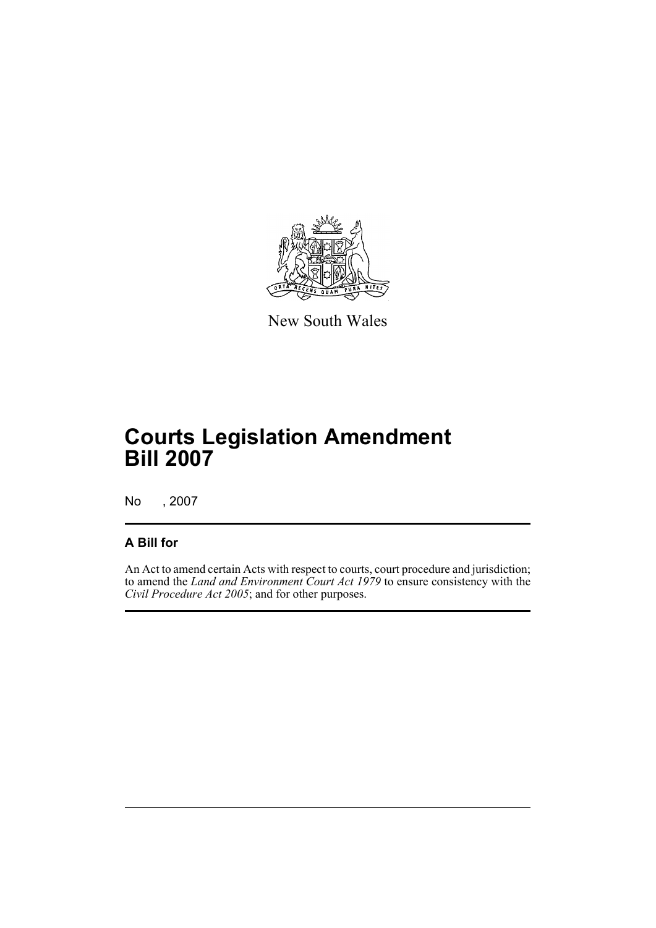

New South Wales

## **Courts Legislation Amendment Bill 2007**

No , 2007

### **A Bill for**

An Act to amend certain Acts with respect to courts, court procedure and jurisdiction; to amend the *Land and Environment Court Act 1979* to ensure consistency with the *Civil Procedure Act 2005*; and for other purposes.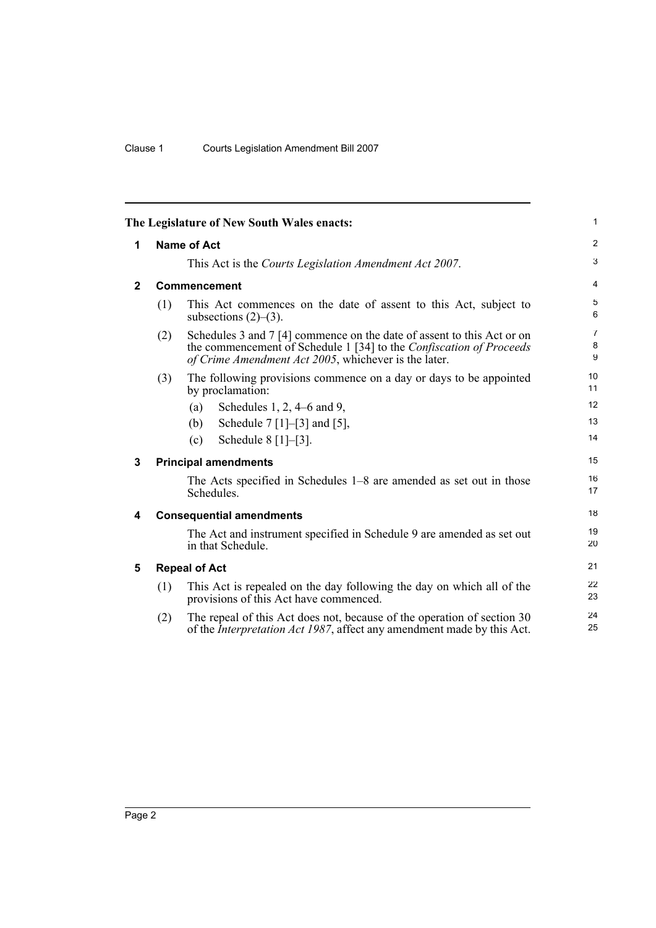<span id="page-11-4"></span><span id="page-11-3"></span><span id="page-11-2"></span><span id="page-11-1"></span><span id="page-11-0"></span>

|              |             | The Legislature of New South Wales enacts:                                                                                                                                                            | $\mathbf{1}$             |  |  |  |
|--------------|-------------|-------------------------------------------------------------------------------------------------------------------------------------------------------------------------------------------------------|--------------------------|--|--|--|
| 1            | Name of Act |                                                                                                                                                                                                       |                          |  |  |  |
|              |             | This Act is the Courts Legislation Amendment Act 2007.                                                                                                                                                | 3                        |  |  |  |
| $\mathbf{2}$ |             | Commencement                                                                                                                                                                                          | $\overline{4}$           |  |  |  |
|              | (1)         | This Act commences on the date of assent to this Act, subject to<br>subsections $(2)$ – $(3)$ .                                                                                                       | 5<br>6                   |  |  |  |
|              | (2)         | Schedules 3 and 7 [4] commence on the date of assent to this Act or on<br>the commencement of Schedule 1 [34] to the Confiscation of Proceeds<br>of Crime Amendment Act 2005, whichever is the later. | $\overline{7}$<br>8<br>9 |  |  |  |
|              | (3)         | The following provisions commence on a day or days to be appointed<br>by proclamation:                                                                                                                | 10<br>11                 |  |  |  |
|              |             | Schedules $1, 2, 4-6$ and $9,$<br>(a)                                                                                                                                                                 | 12                       |  |  |  |
|              |             | Schedule $7 [1] - [3]$ and $[5]$ ,<br>(b)                                                                                                                                                             | 13                       |  |  |  |
|              |             | Schedule $8$ [1]–[3].<br>(c)                                                                                                                                                                          | 14                       |  |  |  |
| 3            |             | <b>Principal amendments</b>                                                                                                                                                                           | 15                       |  |  |  |
|              |             | The Acts specified in Schedules 1–8 are amended as set out in those<br>Schedules.                                                                                                                     | 16<br>17                 |  |  |  |
| 4            |             | <b>Consequential amendments</b>                                                                                                                                                                       | 18                       |  |  |  |
|              |             | The Act and instrument specified in Schedule 9 are amended as set out<br>in that Schedule.                                                                                                            | 19<br>20                 |  |  |  |
| 5            |             | <b>Repeal of Act</b>                                                                                                                                                                                  | 21                       |  |  |  |
|              | (1)         | This Act is repealed on the day following the day on which all of the<br>provisions of this Act have commenced.                                                                                       | 22<br>23                 |  |  |  |
|              | (2)         | The repeal of this Act does not, because of the operation of section 30<br>of the <i>Interpretation Act 1987</i> , affect any amendment made by this Act.                                             | 24<br>25                 |  |  |  |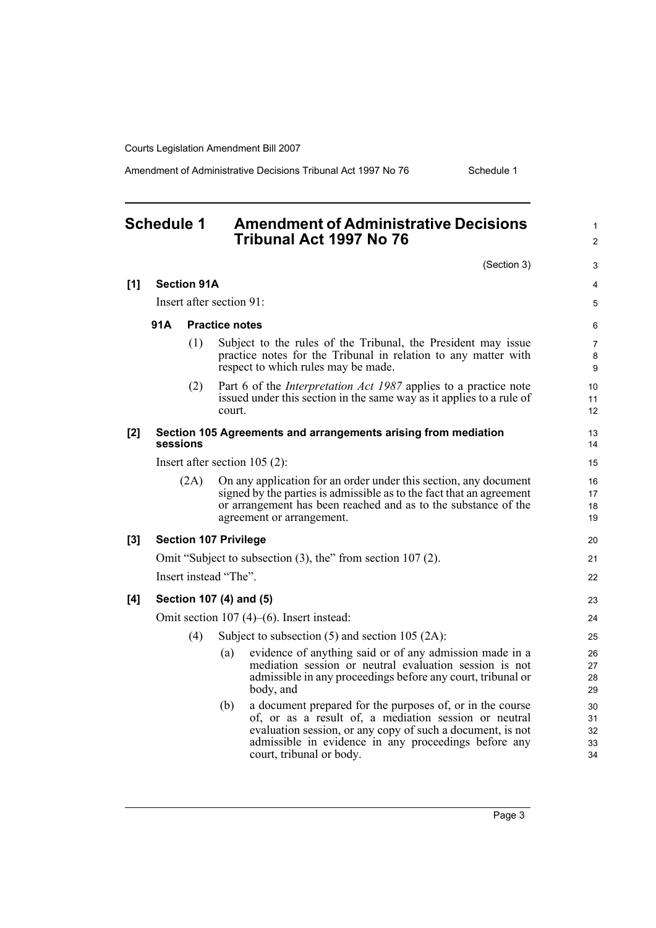Amendment of Administrative Decisions Tribunal Act 1997 No 76 Schedule 1

#### <span id="page-12-0"></span>**Schedule 1 Amendment of Administrative Decisions Tribunal Act 1997 No 76** (Section 3) **[1] Section 91A** Insert after section 91: **91A Practice notes** (1) Subject to the rules of the Tribunal, the President may issue practice notes for the Tribunal in relation to any matter with respect to which rules may be made. (2) Part 6 of the *Interpretation Act 1987* applies to a practice note issued under this section in the same way as it applies to a rule of court. **[2] Section 105 Agreements and arrangements arising from mediation sessions** Insert after section 105 (2): (2A) On any application for an order under this section, any document signed by the parties is admissible as to the fact that an agreement or arrangement has been reached and as to the substance of the agreement or arrangement. **[3] Section 107 Privilege** Omit "Subject to subsection (3), the" from section 107 (2). Insert instead "The". **[4] Section 107 (4) and (5)** Omit section 107 (4)–(6). Insert instead: (4) Subject to subsection (5) and section 105 (2A): (a) evidence of anything said or of any admission made in a mediation session or neutral evaluation session is not admissible in any proceedings before any court, tribunal or body, and (b) a document prepared for the purposes of, or in the course of, or as a result of, a mediation session or neutral evaluation session, or any copy of such a document, is not admissible in evidence in any proceedings before any court, tribunal or body. 1  $\mathfrak{p}$ 3 4 5 6 7 8 9 10 11 12 13 14 15 16 17 18 19 20 21 22 23 24 25 26 27 28 29 30 31 32 33 34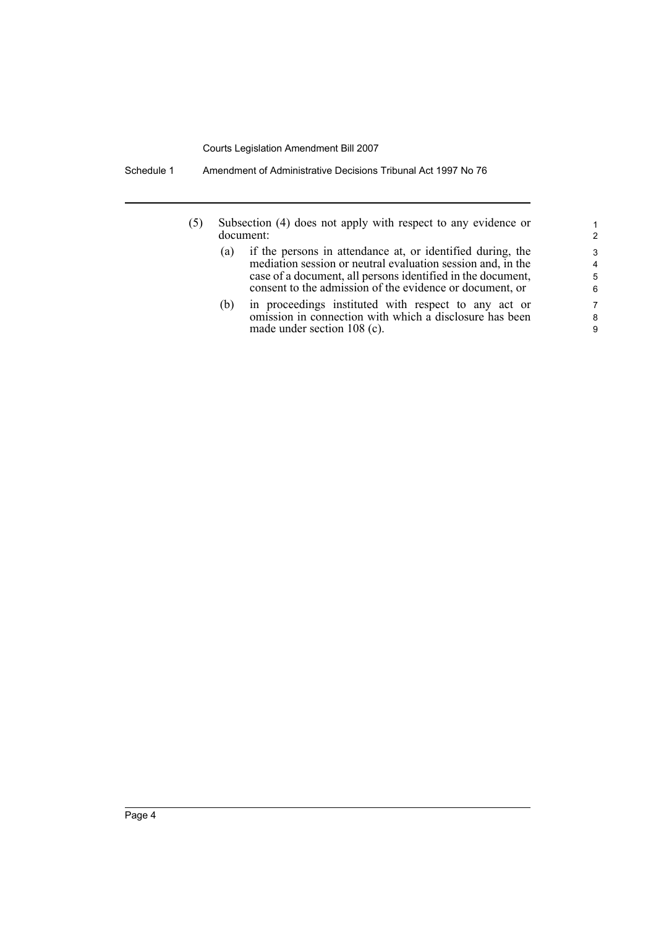Schedule 1 Amendment of Administrative Decisions Tribunal Act 1997 No 76

- (5) Subsection (4) does not apply with respect to any evidence or document:
	- (a) if the persons in attendance at, or identified during, the mediation session or neutral evaluation session and, in the case of a document, all persons identified in the document, consent to the admission of the evidence or document, or

(b) in proceedings instituted with respect to any act or omission in connection with which a disclosure has been made under section 108 (c).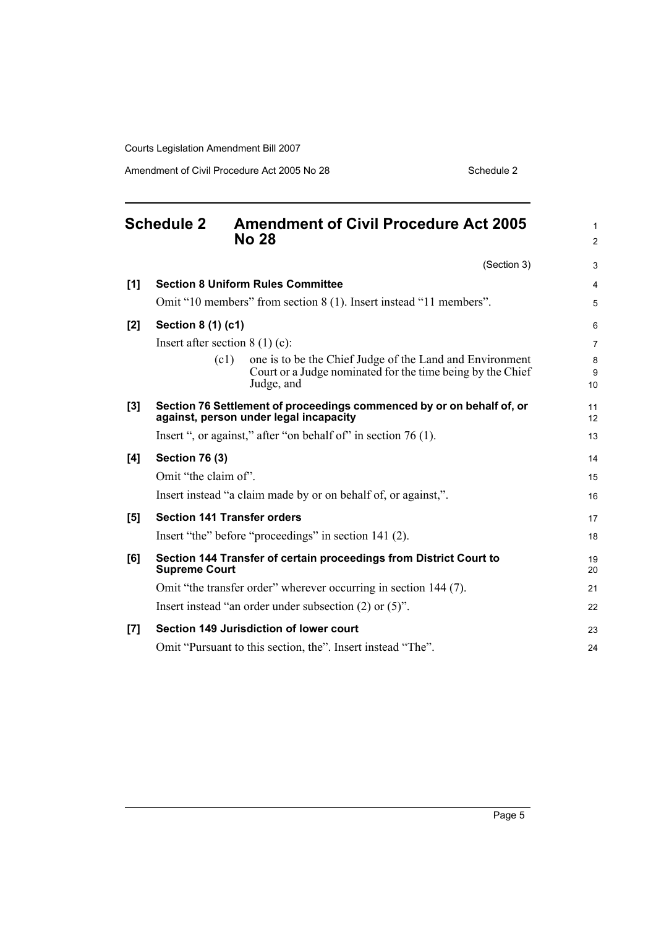Amendment of Civil Procedure Act 2005 No 28 Schedule 2

<span id="page-14-0"></span>

|     | <b>Schedule 2</b>     | <b>Amendment of Civil Procedure Act 2005</b><br><b>No 28</b>                                                                                 | $\mathbf{1}$<br>2 |
|-----|-----------------------|----------------------------------------------------------------------------------------------------------------------------------------------|-------------------|
|     |                       | (Section 3)                                                                                                                                  | 3                 |
| [1] |                       | <b>Section 8 Uniform Rules Committee</b>                                                                                                     | 4                 |
|     |                       | Omit "10 members" from section 8 (1). Insert instead "11 members".                                                                           | 5                 |
| [2] | Section 8 (1) (c1)    |                                                                                                                                              | 6                 |
|     |                       | Insert after section $8(1)(c)$ :                                                                                                             | $\overline{7}$    |
|     |                       | (c1)<br>one is to be the Chief Judge of the Land and Environment<br>Court or a Judge nominated for the time being by the Chief<br>Judge, and | 8<br>9<br>10      |
| [3] |                       | Section 76 Settlement of proceedings commenced by or on behalf of, or<br>against, person under legal incapacity                              | 11<br>12          |
|     |                       | Insert ", or against," after "on behalf of" in section 76 (1).                                                                               | 13                |
| [4] | <b>Section 76 (3)</b> |                                                                                                                                              | 14                |
|     | Omit "the claim of".  |                                                                                                                                              | 15                |
|     |                       | Insert instead "a claim made by or on behalf of, or against,".                                                                               | 16                |
| [5] |                       | <b>Section 141 Transfer orders</b>                                                                                                           | 17                |
|     |                       | Insert "the" before "proceedings" in section 141 (2).                                                                                        | 18                |
| [6] | <b>Supreme Court</b>  | Section 144 Transfer of certain proceedings from District Court to                                                                           | 19<br>20          |
|     |                       | Omit "the transfer order" wherever occurring in section 144 (7).                                                                             | 21                |
|     |                       | Insert instead "an order under subsection $(2)$ or $(5)$ ".                                                                                  | 22                |
| [7] |                       | Section 149 Jurisdiction of lower court                                                                                                      | 23                |
|     |                       | Omit "Pursuant to this section, the". Insert instead "The".                                                                                  | 24                |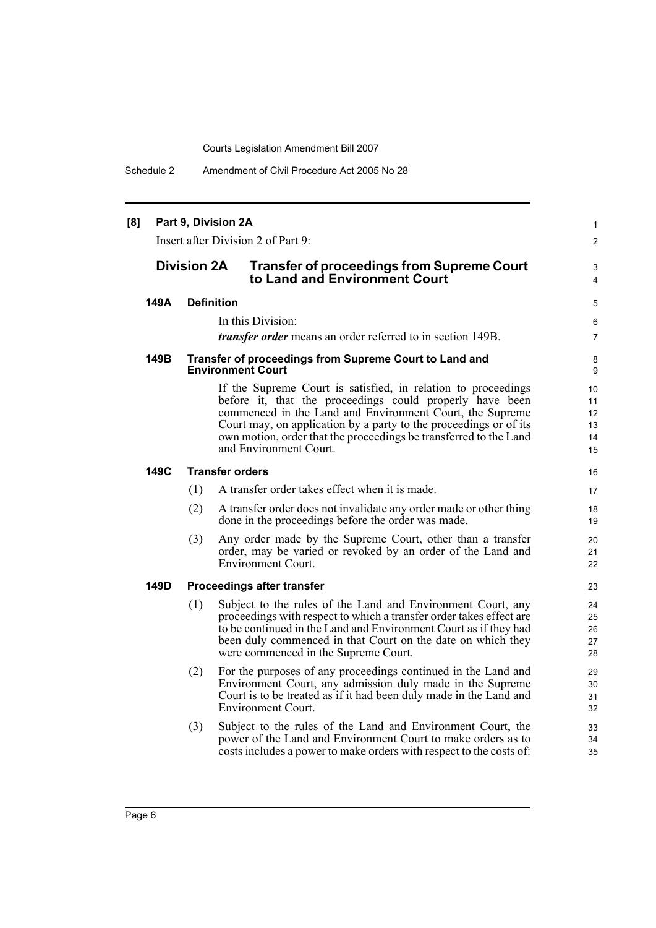Schedule 2 Amendment of Civil Procedure Act 2005 No 28

| Part 9, Division 2A<br>[8]<br>Insert after Division 2 of Part 9: |                                                                                                          |     |                                                                                                                                                                                                                                                                                                                                                           |                                               |  |
|------------------------------------------------------------------|----------------------------------------------------------------------------------------------------------|-----|-----------------------------------------------------------------------------------------------------------------------------------------------------------------------------------------------------------------------------------------------------------------------------------------------------------------------------------------------------------|-----------------------------------------------|--|
|                                                                  | <b>Division 2A</b><br><b>Transfer of proceedings from Supreme Court</b><br>to Land and Environment Court |     |                                                                                                                                                                                                                                                                                                                                                           |                                               |  |
|                                                                  | 149A                                                                                                     |     | <b>Definition</b>                                                                                                                                                                                                                                                                                                                                         | 5                                             |  |
|                                                                  |                                                                                                          |     | In this Division:                                                                                                                                                                                                                                                                                                                                         | 6                                             |  |
|                                                                  |                                                                                                          |     | <i>transfer order</i> means an order referred to in section 149B.                                                                                                                                                                                                                                                                                         | $\overline{7}$                                |  |
|                                                                  | 149B                                                                                                     |     | Transfer of proceedings from Supreme Court to Land and<br><b>Environment Court</b>                                                                                                                                                                                                                                                                        | 8<br>9                                        |  |
|                                                                  |                                                                                                          |     | If the Supreme Court is satisfied, in relation to proceedings<br>before it, that the proceedings could properly have been<br>commenced in the Land and Environment Court, the Supreme<br>Court may, on application by a party to the proceedings or of its<br>own motion, order that the proceedings be transferred to the Land<br>and Environment Court. | 10<br>11<br>12 <sup>2</sup><br>13<br>14<br>15 |  |
|                                                                  | 149C                                                                                                     |     | <b>Transfer orders</b>                                                                                                                                                                                                                                                                                                                                    | 16                                            |  |
|                                                                  |                                                                                                          | (1) | A transfer order takes effect when it is made.                                                                                                                                                                                                                                                                                                            | 17                                            |  |
|                                                                  |                                                                                                          | (2) | A transfer order does not invalidate any order made or other thing<br>done in the proceedings before the order was made.                                                                                                                                                                                                                                  | 18<br>19                                      |  |
|                                                                  |                                                                                                          | (3) | Any order made by the Supreme Court, other than a transfer<br>order, may be varied or revoked by an order of the Land and<br>Environment Court.                                                                                                                                                                                                           | 20<br>21<br>22                                |  |
|                                                                  | 149D                                                                                                     |     | <b>Proceedings after transfer</b>                                                                                                                                                                                                                                                                                                                         | 23                                            |  |
|                                                                  |                                                                                                          | (1) | Subject to the rules of the Land and Environment Court, any<br>proceedings with respect to which a transfer order takes effect are<br>to be continued in the Land and Environment Court as if they had<br>been duly commenced in that Court on the date on which they<br>were commenced in the Supreme Court.                                             | 24<br>25<br>26<br>27<br>28                    |  |
|                                                                  |                                                                                                          | (2) | For the purposes of any proceedings continued in the Land and<br>Environment Court, any admission duly made in the Supreme<br>Court is to be treated as if it had been duly made in the Land and<br><b>Environment Court.</b>                                                                                                                             | 29<br>30<br>31<br>32                          |  |
|                                                                  |                                                                                                          | (3) | Subject to the rules of the Land and Environment Court, the<br>power of the Land and Environment Court to make orders as to<br>costs includes a power to make orders with respect to the costs of:                                                                                                                                                        | 33<br>34<br>35                                |  |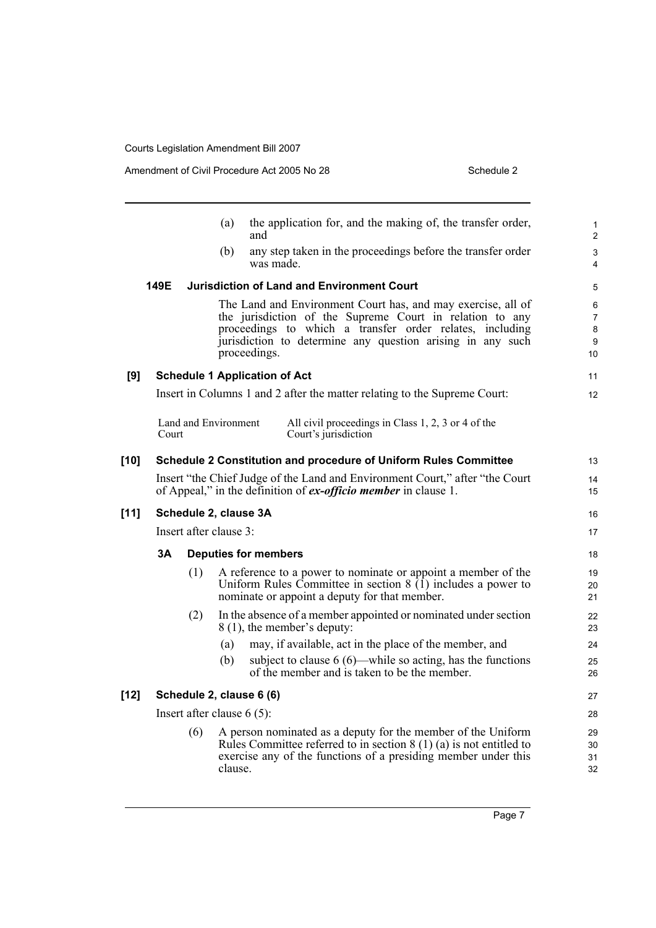|        |       |     | (a)                          | and                                  | the application for, and the making of, the transfer order,                                                                                                                                                                                        | 1<br>$\overline{\mathbf{c}}$        |
|--------|-------|-----|------------------------------|--------------------------------------|----------------------------------------------------------------------------------------------------------------------------------------------------------------------------------------------------------------------------------------------------|-------------------------------------|
|        |       |     | (b)                          | was made.                            | any step taken in the proceedings before the transfer order                                                                                                                                                                                        | 3<br>4                              |
|        | 149E  |     |                              |                                      | <b>Jurisdiction of Land and Environment Court</b>                                                                                                                                                                                                  | 5                                   |
|        |       |     |                              | proceedings.                         | The Land and Environment Court has, and may exercise, all of<br>the jurisdiction of the Supreme Court in relation to any<br>proceedings to which a transfer order relates, including<br>jurisdiction to determine any question arising in any such | 6<br>$\overline{7}$<br>8<br>9<br>10 |
| [9]    |       |     |                              | <b>Schedule 1 Application of Act</b> |                                                                                                                                                                                                                                                    | 11                                  |
|        |       |     |                              |                                      | Insert in Columns 1 and 2 after the matter relating to the Supreme Court:                                                                                                                                                                          | 12                                  |
|        | Court |     | Land and Environment         |                                      | All civil proceedings in Class 1, 2, 3 or 4 of the<br>Court's jurisdiction                                                                                                                                                                         |                                     |
| [10]   |       |     |                              |                                      | Schedule 2 Constitution and procedure of Uniform Rules Committee                                                                                                                                                                                   | 13                                  |
|        |       |     |                              |                                      | Insert "the Chief Judge of the Land and Environment Court," after "the Court"<br>of Appeal," in the definition of <i>ex-officio member</i> in clause 1.                                                                                            | 14<br>15                            |
| $[11]$ |       |     | Schedule 2, clause 3A        |                                      |                                                                                                                                                                                                                                                    | 16                                  |
|        |       |     | Insert after clause 3:       |                                      |                                                                                                                                                                                                                                                    | 17                                  |
|        | 3Α    |     |                              | <b>Deputies for members</b>          |                                                                                                                                                                                                                                                    | 18                                  |
|        |       | (1) |                              |                                      | A reference to a power to nominate or appoint a member of the<br>Uniform Rules Committee in section $8(1)$ includes a power to<br>nominate or appoint a deputy for that member.                                                                    | 19<br>20<br>21                      |
|        |       | (2) |                              |                                      | In the absence of a member appointed or nominated under section<br>8 (1), the member's deputy:                                                                                                                                                     | 22<br>23                            |
|        |       |     | (a)                          |                                      | may, if available, act in the place of the member, and                                                                                                                                                                                             | 24                                  |
|        |       |     | (b)                          |                                      | subject to clause $6(6)$ —while so acting, has the functions<br>of the member and is taken to be the member.                                                                                                                                       | 25<br>26                            |
| [12]   |       |     |                              | Schedule 2, clause 6 (6)             |                                                                                                                                                                                                                                                    | 27                                  |
|        |       |     | Insert after clause $6(5)$ : |                                      |                                                                                                                                                                                                                                                    | 28                                  |
|        |       | (6) | clause.                      |                                      | A person nominated as a deputy for the member of the Uniform<br>Rules Committee referred to in section $8(1)(a)$ is not entitled to<br>exercise any of the functions of a presiding member under this                                              | 29<br>30<br>31<br>32                |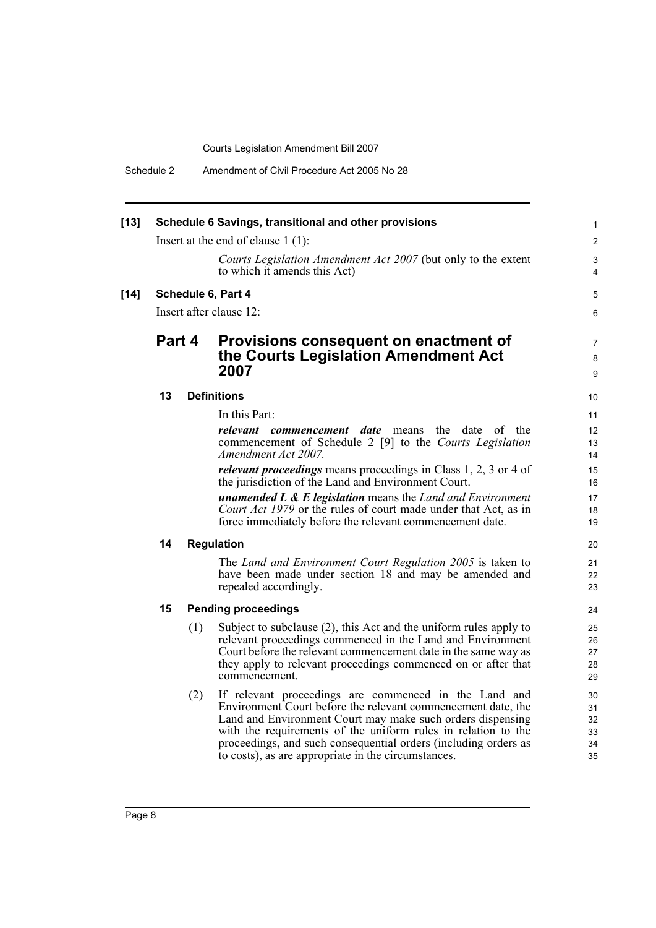Schedule 2 Amendment of Civil Procedure Act 2005 No 28

| $[13]$ |        |     | Schedule 6 Savings, transitional and other provisions                                                                           | $\mathbf{1}$             |  |  |  |  |  |  |
|--------|--------|-----|---------------------------------------------------------------------------------------------------------------------------------|--------------------------|--|--|--|--|--|--|
|        |        |     | Insert at the end of clause $1(1)$ :                                                                                            | $\overline{2}$           |  |  |  |  |  |  |
|        |        |     | Courts Legislation Amendment Act 2007 (but only to the extent<br>to which it amends this Act)                                   | 3<br>4                   |  |  |  |  |  |  |
| $[14]$ |        |     | Schedule 6, Part 4                                                                                                              | 5                        |  |  |  |  |  |  |
|        |        |     | Insert after clause 12:                                                                                                         | 6                        |  |  |  |  |  |  |
|        | Part 4 |     | Provisions consequent on enactment of<br>the Courts Legislation Amendment Act<br>2007                                           | $\overline{7}$<br>8<br>9 |  |  |  |  |  |  |
|        | 13     |     | <b>Definitions</b>                                                                                                              | 10                       |  |  |  |  |  |  |
|        |        |     | In this Part:                                                                                                                   | 11                       |  |  |  |  |  |  |
|        |        |     | relevant commencement date means<br>the date of the                                                                             | 12                       |  |  |  |  |  |  |
|        |        |     | commencement of Schedule 2 [9] to the Courts Legislation                                                                        | 13                       |  |  |  |  |  |  |
|        |        |     | Amendment Act 2007.                                                                                                             | 14                       |  |  |  |  |  |  |
|        |        |     | <i>relevant proceedings</i> means proceedings in Class 1, 2, 3 or 4 of<br>the jurisdiction of the Land and Environment Court.   | 15<br>16                 |  |  |  |  |  |  |
|        |        |     | <b>unamended L &amp; E legislation</b> means the Land and Environment                                                           | 17                       |  |  |  |  |  |  |
|        |        |     | Court Act 1979 or the rules of court made under that Act, as in<br>force immediately before the relevant commencement date.     | 18<br>19                 |  |  |  |  |  |  |
|        | 14     |     | <b>Regulation</b>                                                                                                               | 20                       |  |  |  |  |  |  |
|        |        |     | The Land and Environment Court Regulation 2005 is taken to                                                                      | 21                       |  |  |  |  |  |  |
|        |        |     | have been made under section 18 and may be amended and<br>repealed accordingly.                                                 | 22<br>23                 |  |  |  |  |  |  |
|        | 15     |     | <b>Pending proceedings</b>                                                                                                      | 24                       |  |  |  |  |  |  |
|        |        | (1) | Subject to subclause (2), this Act and the uniform rules apply to                                                               | 25                       |  |  |  |  |  |  |
|        |        |     | relevant proceedings commenced in the Land and Environment                                                                      | 26                       |  |  |  |  |  |  |
|        |        |     | Court before the relevant commencement date in the same way as<br>they apply to relevant proceedings commenced on or after that | 27<br>28                 |  |  |  |  |  |  |
|        |        |     | commencement.                                                                                                                   | 29                       |  |  |  |  |  |  |
|        |        | (2) | If relevant proceedings are commenced in the Land and                                                                           | 30                       |  |  |  |  |  |  |
|        |        |     | Environment Court before the relevant commencement date, the                                                                    | 31                       |  |  |  |  |  |  |
|        |        |     | Land and Environment Court may make such orders dispensing<br>with the requirements of the uniform rules in relation to the     | 32<br>33                 |  |  |  |  |  |  |
|        |        |     | proceedings, and such consequential orders (including orders as                                                                 | 34                       |  |  |  |  |  |  |
|        |        |     | to costs), as are appropriate in the circumstances.                                                                             | 35                       |  |  |  |  |  |  |
|        |        |     |                                                                                                                                 |                          |  |  |  |  |  |  |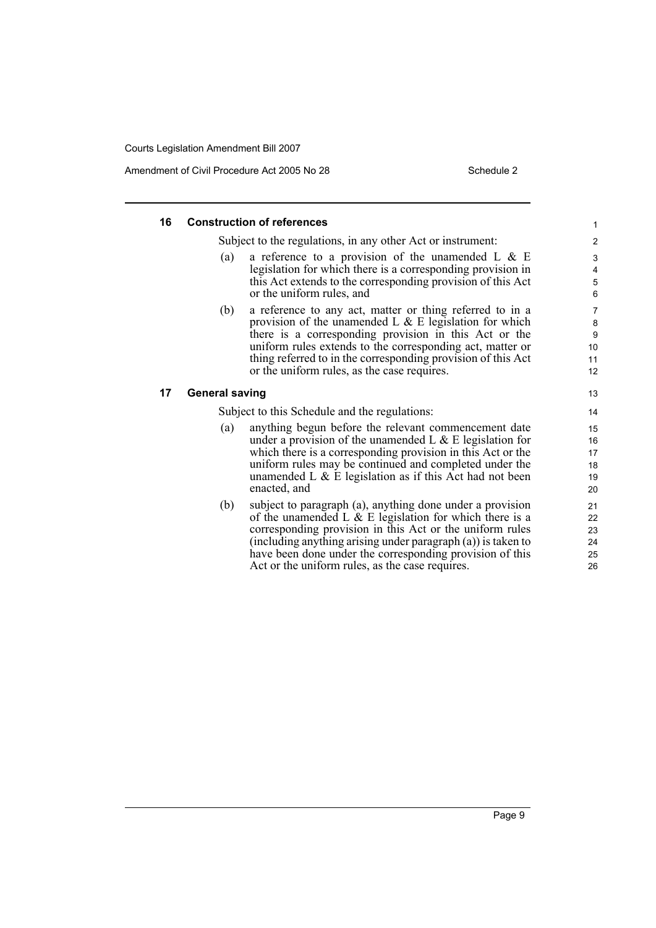Amendment of Civil Procedure Act 2005 No 28 Schedule 2

| 16 | <b>Construction of references</b>                                                                                                                                                                                                                                                                                                                                 | $\mathbf{1}$                                     |
|----|-------------------------------------------------------------------------------------------------------------------------------------------------------------------------------------------------------------------------------------------------------------------------------------------------------------------------------------------------------------------|--------------------------------------------------|
|    | Subject to the regulations, in any other Act or instrument:                                                                                                                                                                                                                                                                                                       | $\overline{c}$                                   |
|    | a reference to a provision of the unamended L $\&$ E<br>(a)<br>legislation for which there is a corresponding provision in<br>this Act extends to the corresponding provision of this Act<br>or the uniform rules, and                                                                                                                                            | 3<br>4<br>$\mathbf 5$<br>$6\phantom{1}6$         |
|    | (b)<br>a reference to any act, matter or thing referred to in a<br>provision of the unamended L $\&$ E legislation for which<br>there is a corresponding provision in this Act or the<br>uniform rules extends to the corresponding act, matter or<br>thing referred to in the corresponding provision of this Act<br>or the uniform rules, as the case requires. | $\overline{7}$<br>$\bf 8$<br>9<br>10<br>11<br>12 |
| 17 | <b>General saving</b>                                                                                                                                                                                                                                                                                                                                             | 13                                               |
|    | Subject to this Schedule and the regulations:                                                                                                                                                                                                                                                                                                                     | 14                                               |
|    | anything begun before the relevant commencement date<br>(a)<br>under a provision of the unamended L $\&$ E legislation for<br>which there is a corresponding provision in this Act or the<br>uniform rules may be continued and completed under the<br>unamended L $\&$ E legislation as if this Act had not been<br>enacted, and                                 | 15<br>16<br>17<br>18<br>19<br>20                 |
|    | (b)<br>subject to paragraph (a), anything done under a provision<br>of the unamended L $\&$ E legislation for which there is a<br>corresponding provision in this Act or the uniform rules<br>(including anything arising under paragraph (a)) is taken to<br>have been done under the corresponding provision of this                                            | 21<br>22<br>23<br>24<br>25                       |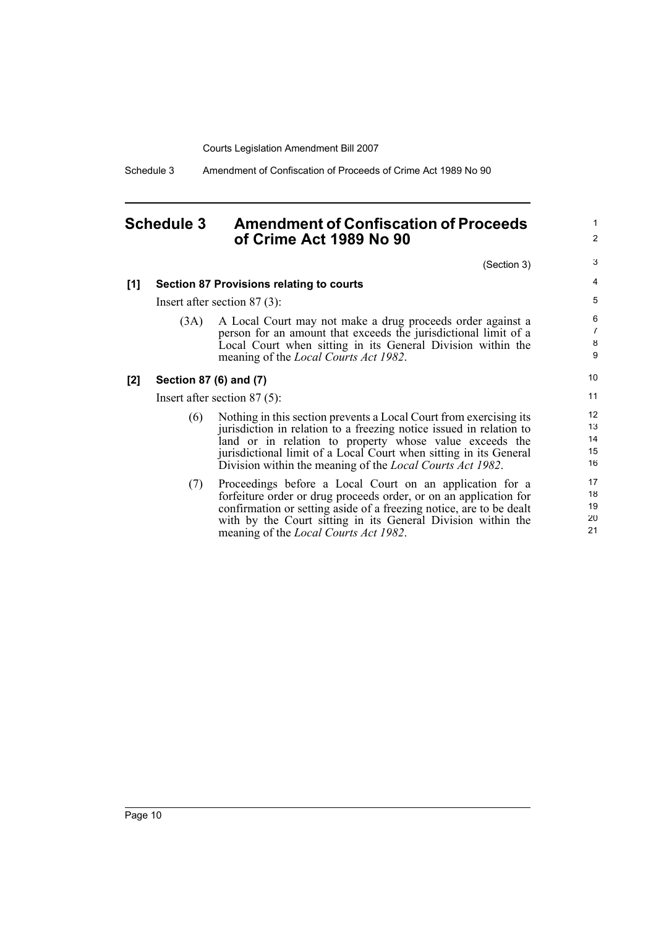Schedule 3 Amendment of Confiscation of Proceeds of Crime Act 1989 No 90

## <span id="page-19-0"></span>**Schedule 3 Amendment of Confiscation of Proceeds of Crime Act 1989 No 90**

1 2

|     |                                | (Section 3)                                                                                                                                                                                                                                                                                                                                    | 3                                       |  |  |
|-----|--------------------------------|------------------------------------------------------------------------------------------------------------------------------------------------------------------------------------------------------------------------------------------------------------------------------------------------------------------------------------------------|-----------------------------------------|--|--|
| [1] |                                | <b>Section 87 Provisions relating to courts</b>                                                                                                                                                                                                                                                                                                | 4                                       |  |  |
|     |                                | Insert after section $87(3)$ :                                                                                                                                                                                                                                                                                                                 | 5                                       |  |  |
|     | (3A)                           | A Local Court may not make a drug proceeds order against a<br>person for an amount that exceeds the jurisdictional limit of a<br>Local Court when sitting in its General Division within the<br>meaning of the <i>Local Courts Act 1982</i> .                                                                                                  | 6<br>$\overline{7}$<br>8<br>9           |  |  |
| [2] | Section 87 (6) and (7)         |                                                                                                                                                                                                                                                                                                                                                | 10 <sup>°</sup>                         |  |  |
|     | Insert after section $87(5)$ : |                                                                                                                                                                                                                                                                                                                                                |                                         |  |  |
|     | (6)                            | Nothing in this section prevents a Local Court from exercising its<br>jurisdiction in relation to a freezing notice issued in relation to<br>land or in relation to property whose value exceeds the<br>jurisdictional limit of a Local Court when sitting in its General<br>Division within the meaning of the <i>Local Courts Act 1982</i> . | 12 <sup>2</sup><br>13<br>14<br>15<br>16 |  |  |
|     | (7)                            | Proceedings before a Local Court on an application for a<br>forfeiture order or drug proceeds order, or on an application for<br>confirmation or setting aside of a freezing notice, are to be dealt<br>with by the Court sitting in its General Division within the<br>meaning of the <i>Local Courts Act 1982</i> .                          | 17<br>18<br>19<br>20<br>21              |  |  |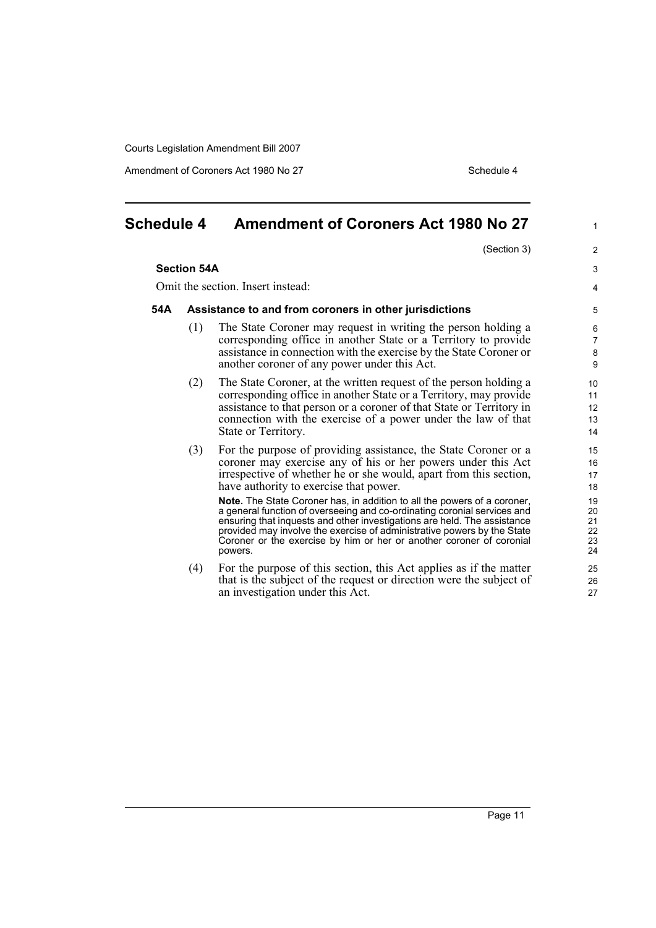Amendment of Coroners Act 1980 No 27 Schedule 4

| <b>Schedule 4</b> |                                                        | <b>Amendment of Coroners Act 1980 No 27</b>                                                                                                                                                                                                                                                                                                                                                                                                                                                                                                                                                                                                             | $\mathbf{1}$                                             |  |  |
|-------------------|--------------------------------------------------------|---------------------------------------------------------------------------------------------------------------------------------------------------------------------------------------------------------------------------------------------------------------------------------------------------------------------------------------------------------------------------------------------------------------------------------------------------------------------------------------------------------------------------------------------------------------------------------------------------------------------------------------------------------|----------------------------------------------------------|--|--|
|                   |                                                        | (Section 3)                                                                                                                                                                                                                                                                                                                                                                                                                                                                                                                                                                                                                                             | $\overline{2}$                                           |  |  |
|                   | <b>Section 54A</b>                                     |                                                                                                                                                                                                                                                                                                                                                                                                                                                                                                                                                                                                                                                         |                                                          |  |  |
|                   |                                                        | Omit the section. Insert instead:                                                                                                                                                                                                                                                                                                                                                                                                                                                                                                                                                                                                                       | $\overline{4}$                                           |  |  |
| 54A               | Assistance to and from coroners in other jurisdictions |                                                                                                                                                                                                                                                                                                                                                                                                                                                                                                                                                                                                                                                         |                                                          |  |  |
|                   | (1)                                                    | The State Coroner may request in writing the person holding a<br>corresponding office in another State or a Territory to provide<br>assistance in connection with the exercise by the State Coroner or<br>another coroner of any power under this Act.                                                                                                                                                                                                                                                                                                                                                                                                  | 6<br>$\overline{7}$<br>$\bf8$<br>9                       |  |  |
|                   | (2)                                                    | The State Coroner, at the written request of the person holding a<br>corresponding office in another State or a Territory, may provide<br>assistance to that person or a coroner of that State or Territory in<br>connection with the exercise of a power under the law of that<br>State or Territory.                                                                                                                                                                                                                                                                                                                                                  | 10<br>11<br>12<br>13<br>14                               |  |  |
|                   | (3)                                                    | For the purpose of providing assistance, the State Coroner or a<br>coroner may exercise any of his or her powers under this Act<br>irrespective of whether he or she would, apart from this section,<br>have authority to exercise that power.<br><b>Note.</b> The State Coroner has, in addition to all the powers of a coroner,<br>a general function of overseeing and co-ordinating coronial services and<br>ensuring that inquests and other investigations are held. The assistance<br>provided may involve the exercise of administrative powers by the State<br>Coroner or the exercise by him or her or another coroner of coronial<br>powers. | 15<br>16<br>17<br>18<br>19<br>20<br>21<br>22<br>23<br>24 |  |  |
|                   | (4)                                                    | For the purpose of this section, this Act applies as if the matter<br>that is the subject of the request or direction were the subject of<br>an investigation under this Act.                                                                                                                                                                                                                                                                                                                                                                                                                                                                           | 25<br>26<br>27                                           |  |  |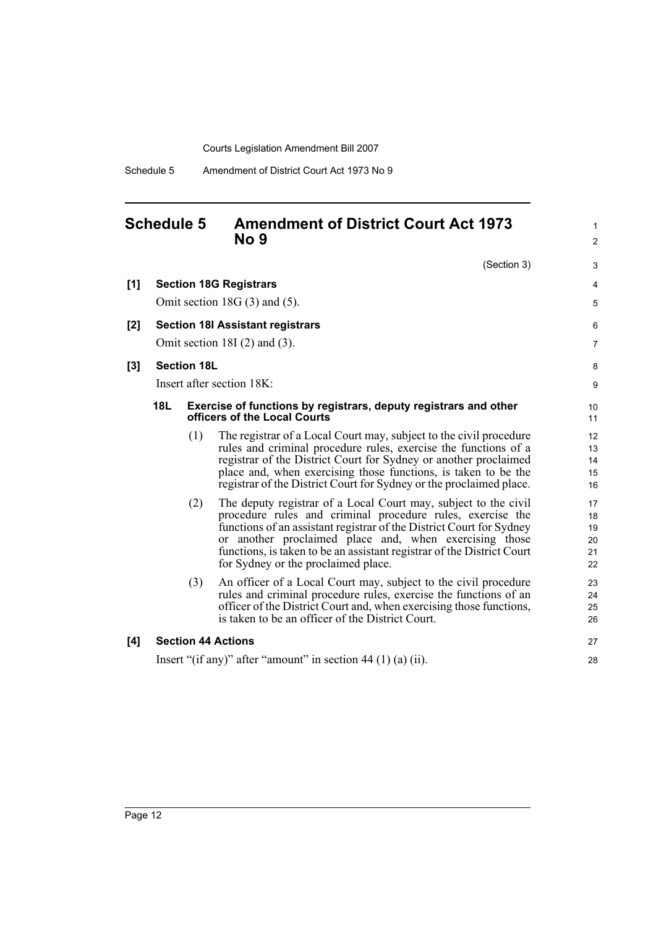Schedule 5 Amendment of District Court Act 1973 No 9

## <span id="page-21-0"></span>**Schedule 5 Amendment of District Court Act 1973 No 9**

|     |            |                    | NO Y                                                                                                                                                                                                                                                                                                                                                                             | $\overline{\mathbf{c}}$          |
|-----|------------|--------------------|----------------------------------------------------------------------------------------------------------------------------------------------------------------------------------------------------------------------------------------------------------------------------------------------------------------------------------------------------------------------------------|----------------------------------|
|     |            |                    | (Section 3)                                                                                                                                                                                                                                                                                                                                                                      | 3                                |
| [1] |            |                    | <b>Section 18G Registrars</b>                                                                                                                                                                                                                                                                                                                                                    | 4                                |
|     |            |                    | Omit section 18G $(3)$ and $(5)$ .                                                                                                                                                                                                                                                                                                                                               | 5                                |
| [2] |            |                    | <b>Section 18I Assistant registrars</b>                                                                                                                                                                                                                                                                                                                                          | 6                                |
|     |            |                    | Omit section 18I $(2)$ and $(3)$ .                                                                                                                                                                                                                                                                                                                                               | 7                                |
| [3] |            | <b>Section 18L</b> |                                                                                                                                                                                                                                                                                                                                                                                  | 8                                |
|     |            |                    | Insert after section 18K:                                                                                                                                                                                                                                                                                                                                                        | 9                                |
|     | <b>18L</b> |                    | Exercise of functions by registrars, deputy registrars and other<br>officers of the Local Courts                                                                                                                                                                                                                                                                                 | 10<br>11                         |
|     |            | (1)                | The registrar of a Local Court may, subject to the civil procedure<br>rules and criminal procedure rules, exercise the functions of a<br>registrar of the District Court for Sydney or another proclaimed<br>place and, when exercising those functions, is taken to be the<br>registrar of the District Court for Sydney or the proclaimed place.                               | 12<br>13<br>14<br>15<br>16       |
|     |            | (2)                | The deputy registrar of a Local Court may, subject to the civil<br>procedure rules and criminal procedure rules, exercise the<br>functions of an assistant registrar of the District Court for Sydney<br>or another proclaimed place and, when exercising those<br>functions, is taken to be an assistant registrar of the District Court<br>for Sydney or the proclaimed place. | 17<br>18<br>19<br>20<br>21<br>22 |
|     |            | (3)                | An officer of a Local Court may, subject to the civil procedure<br>rules and criminal procedure rules, exercise the functions of an<br>officer of the District Court and, when exercising those functions,<br>is taken to be an officer of the District Court.                                                                                                                   | 23<br>24<br>25<br>26             |
| [4] |            |                    | <b>Section 44 Actions</b>                                                                                                                                                                                                                                                                                                                                                        | 27                               |
|     |            |                    | Insert "(if any)" after "amount" in section 44 (1) (a) (ii).                                                                                                                                                                                                                                                                                                                     | 28                               |

1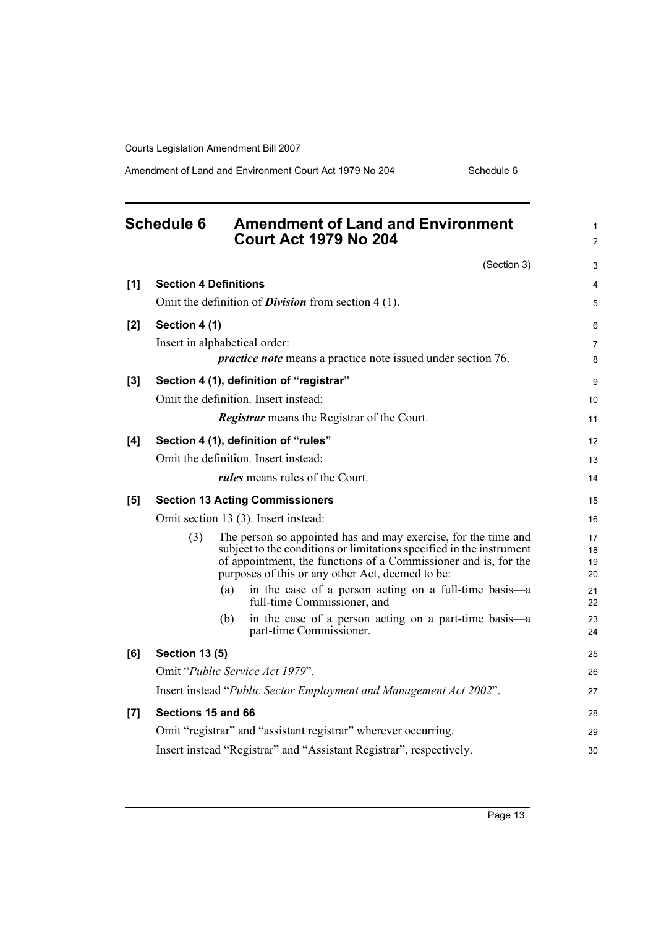Amendment of Land and Environment Court Act 1979 No 204 Schedule 6

<span id="page-22-0"></span>

|       | <b>Schedule 6</b>             |     | <b>Amendment of Land and Environment</b><br><b>Court Act 1979 No 204</b>                                                                                                                                                                                      | 1<br>$\overline{2}$  |
|-------|-------------------------------|-----|---------------------------------------------------------------------------------------------------------------------------------------------------------------------------------------------------------------------------------------------------------------|----------------------|
|       |                               |     | (Section 3)                                                                                                                                                                                                                                                   | 3                    |
| [1]   | <b>Section 4 Definitions</b>  |     |                                                                                                                                                                                                                                                               | $\overline{4}$       |
|       |                               |     | Omit the definition of <i>Division</i> from section $4(1)$ .                                                                                                                                                                                                  | 5                    |
| [2]   | Section 4 (1)                 |     |                                                                                                                                                                                                                                                               | 6                    |
|       | Insert in alphabetical order: |     |                                                                                                                                                                                                                                                               | 7                    |
|       |                               |     | <i>practice note</i> means a practice note issued under section 76.                                                                                                                                                                                           | 8                    |
| $[3]$ |                               |     | Section 4 (1), definition of "registrar"                                                                                                                                                                                                                      | 9                    |
|       |                               |     | Omit the definition. Insert instead:                                                                                                                                                                                                                          | 10                   |
|       |                               |     | <b>Registrar</b> means the Registrar of the Court.                                                                                                                                                                                                            | 11                   |
| [4]   |                               |     | Section 4 (1), definition of "rules"                                                                                                                                                                                                                          | 12                   |
|       |                               |     | Omit the definition. Insert instead:                                                                                                                                                                                                                          | 13                   |
|       |                               |     | <i>rules</i> means rules of the Court.                                                                                                                                                                                                                        | 14                   |
| [5]   |                               |     | <b>Section 13 Acting Commissioners</b>                                                                                                                                                                                                                        | 15                   |
|       |                               |     | Omit section 13 (3). Insert instead:                                                                                                                                                                                                                          | 16                   |
|       | (3)                           |     | The person so appointed has and may exercise, for the time and<br>subject to the conditions or limitations specified in the instrument<br>of appointment, the functions of a Commissioner and is, for the<br>purposes of this or any other Act, deemed to be: | 17<br>18<br>19<br>20 |
|       |                               | (a) | in the case of a person acting on a full-time basis-a<br>full-time Commissioner, and                                                                                                                                                                          | 21<br>22             |
|       |                               | (b) | in the case of a person acting on a part-time basis-a<br>part-time Commissioner.                                                                                                                                                                              | 23<br>24             |
| [6]   | <b>Section 13 (5)</b>         |     |                                                                                                                                                                                                                                                               | 25                   |
|       |                               |     | Omit "Public Service Act 1979".                                                                                                                                                                                                                               | 26                   |
|       |                               |     | Insert instead "Public Sector Employment and Management Act 2002".                                                                                                                                                                                            | 27                   |
| [7]   | Sections 15 and 66            |     |                                                                                                                                                                                                                                                               | 28                   |
|       |                               |     | Omit "registrar" and "assistant registrar" wherever occurring.                                                                                                                                                                                                | 29                   |
|       |                               |     | Insert instead "Registrar" and "Assistant Registrar", respectively.                                                                                                                                                                                           | 30                   |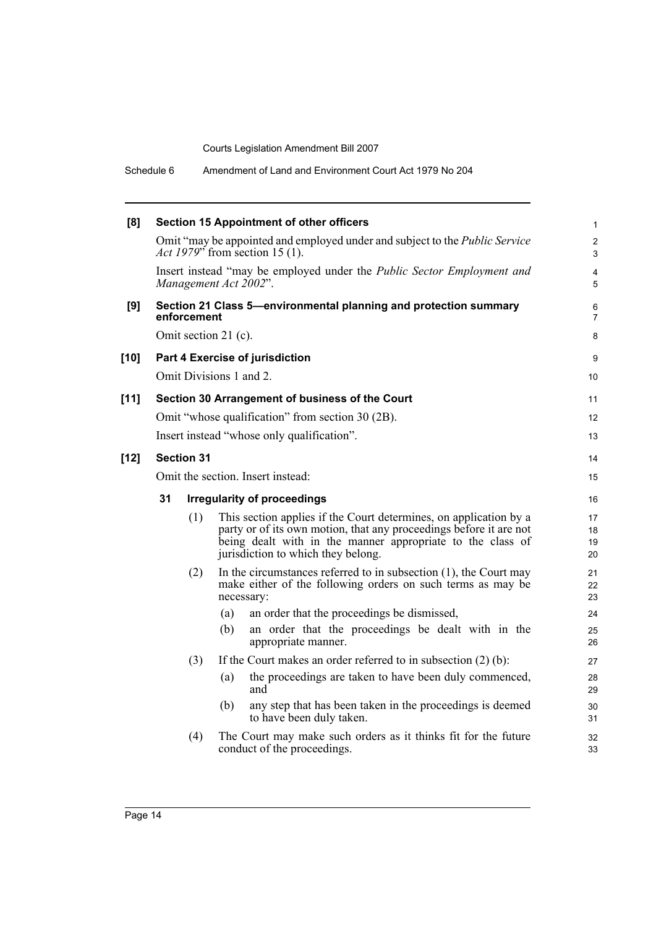Schedule 6 Amendment of Land and Environment Court Act 1979 No 204

| [8]    | <b>Section 15 Appointment of other officers</b> |             |                      |                                                                                                                                                                                                                                             |                      |  |  |
|--------|-------------------------------------------------|-------------|----------------------|---------------------------------------------------------------------------------------------------------------------------------------------------------------------------------------------------------------------------------------------|----------------------|--|--|
|        |                                                 |             |                      | Omit "may be appointed and employed under and subject to the <i>Public Service</i><br>Act 1979" from section 15 (1).                                                                                                                        | $\overline{2}$<br>3  |  |  |
|        |                                                 |             |                      | Insert instead "may be employed under the <i>Public Sector Employment and</i><br>Management Act 2002".                                                                                                                                      | $\overline{4}$<br>5  |  |  |
| [9]    |                                                 | enforcement |                      | Section 21 Class 5-environmental planning and protection summary                                                                                                                                                                            | 6<br>$\overline{7}$  |  |  |
|        |                                                 |             | Omit section 21 (c). |                                                                                                                                                                                                                                             | 8                    |  |  |
| $[10]$ |                                                 |             |                      | Part 4 Exercise of jurisdiction                                                                                                                                                                                                             | 9                    |  |  |
|        |                                                 |             |                      | Omit Divisions 1 and 2.                                                                                                                                                                                                                     | 10                   |  |  |
| $[11]$ |                                                 |             |                      | Section 30 Arrangement of business of the Court                                                                                                                                                                                             | 11                   |  |  |
|        |                                                 |             |                      | Omit "whose qualification" from section 30 (2B).                                                                                                                                                                                            | 12                   |  |  |
|        |                                                 |             |                      | Insert instead "whose only qualification".                                                                                                                                                                                                  | 13                   |  |  |
| $[12]$ | <b>Section 31</b>                               |             |                      |                                                                                                                                                                                                                                             |                      |  |  |
|        | Omit the section. Insert instead:               |             |                      |                                                                                                                                                                                                                                             | 15                   |  |  |
|        | 31                                              |             |                      | <b>Irregularity of proceedings</b>                                                                                                                                                                                                          | 16                   |  |  |
|        |                                                 | (1)         |                      | This section applies if the Court determines, on application by a<br>party or of its own motion, that any proceedings before it are not<br>being dealt with in the manner appropriate to the class of<br>jurisdiction to which they belong. | 17<br>18<br>19<br>20 |  |  |
|        |                                                 | (2)         |                      | In the circumstances referred to in subsection $(1)$ , the Court may<br>make either of the following orders on such terms as may be<br>necessary:                                                                                           | 21<br>22<br>23       |  |  |
|        |                                                 |             | (a)                  | an order that the proceedings be dismissed,                                                                                                                                                                                                 | 24                   |  |  |
|        |                                                 |             | (b)                  | an order that the proceedings be dealt with in the<br>appropriate manner.                                                                                                                                                                   | 25<br>26             |  |  |
|        |                                                 | (3)         |                      | If the Court makes an order referred to in subsection $(2)$ (b):                                                                                                                                                                            | 27                   |  |  |
|        |                                                 |             | (a)                  | the proceedings are taken to have been duly commenced,<br>and                                                                                                                                                                               | 28<br>29             |  |  |
|        |                                                 |             | (b)                  | any step that has been taken in the proceedings is deemed<br>to have been duly taken.                                                                                                                                                       | 30<br>31             |  |  |
|        |                                                 | (4)         |                      | The Court may make such orders as it thinks fit for the future<br>conduct of the proceedings.                                                                                                                                               | 32<br>33             |  |  |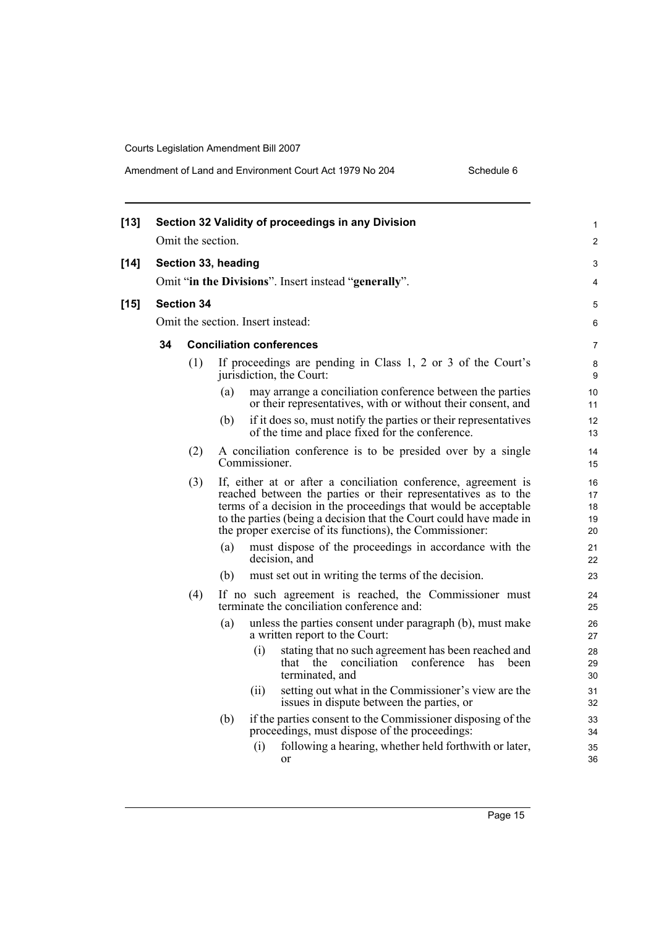| $[13]$ |                                   | Omit the section. |                                 |               | Section 32 Validity of proceedings in any Division                                                                                                                                                                                                                                                                                    | 1<br>$\overline{c}$        |  |
|--------|-----------------------------------|-------------------|---------------------------------|---------------|---------------------------------------------------------------------------------------------------------------------------------------------------------------------------------------------------------------------------------------------------------------------------------------------------------------------------------------|----------------------------|--|
| $[14]$ |                                   |                   | Section 33, heading             |               | Omit "in the Divisions". Insert instead "generally".                                                                                                                                                                                                                                                                                  | 3<br>4                     |  |
|        |                                   |                   |                                 |               |                                                                                                                                                                                                                                                                                                                                       |                            |  |
| $[15]$ |                                   | <b>Section 34</b> |                                 |               |                                                                                                                                                                                                                                                                                                                                       | 5                          |  |
|        | Omit the section. Insert instead: |                   |                                 |               |                                                                                                                                                                                                                                                                                                                                       |                            |  |
|        | 34                                |                   | <b>Conciliation conferences</b> |               |                                                                                                                                                                                                                                                                                                                                       | 7                          |  |
|        |                                   | (1)               |                                 |               | If proceedings are pending in Class 1, 2 or 3 of the Court's<br>jurisdiction, the Court:                                                                                                                                                                                                                                              | 8<br>9                     |  |
|        |                                   |                   | (a)                             |               | may arrange a conciliation conference between the parties<br>or their representatives, with or without their consent, and                                                                                                                                                                                                             | 10<br>11                   |  |
|        |                                   |                   | (b)                             |               | if it does so, must notify the parties or their representatives<br>of the time and place fixed for the conference.                                                                                                                                                                                                                    | 12<br>13                   |  |
|        |                                   | (2)               |                                 | Commissioner. | A conciliation conference is to be presided over by a single                                                                                                                                                                                                                                                                          | 14<br>15                   |  |
|        |                                   | (3)               |                                 |               | If, either at or after a conciliation conference, agreement is<br>reached between the parties or their representatives as to the<br>terms of a decision in the proceedings that would be acceptable<br>to the parties (being a decision that the Court could have made in<br>the proper exercise of its functions), the Commissioner: | 16<br>17<br>18<br>19<br>20 |  |
|        |                                   |                   | (a)                             |               | must dispose of the proceedings in accordance with the<br>decision, and                                                                                                                                                                                                                                                               | 21<br>22                   |  |
|        |                                   |                   | (b)                             |               | must set out in writing the terms of the decision.                                                                                                                                                                                                                                                                                    | 23                         |  |
|        |                                   | (4)               |                                 |               | If no such agreement is reached, the Commissioner must<br>terminate the conciliation conference and:                                                                                                                                                                                                                                  | 24<br>25                   |  |
|        |                                   |                   | (a)                             |               | unless the parties consent under paragraph (b), must make<br>a written report to the Court:                                                                                                                                                                                                                                           | 26<br>27                   |  |
|        |                                   |                   |                                 | (i)           | stating that no such agreement has been reached and<br>that the conciliation<br>conference<br>has<br>been<br>terminated, and                                                                                                                                                                                                          | 28<br>29<br>30             |  |
|        |                                   |                   |                                 | (ii)          | setting out what in the Commissioner's view are the<br>issues in dispute between the parties, or                                                                                                                                                                                                                                      | 31<br>32                   |  |
|        |                                   |                   | (b)                             |               | if the parties consent to the Commissioner disposing of the<br>proceedings, must dispose of the proceedings:                                                                                                                                                                                                                          | 33<br>34                   |  |
|        |                                   |                   |                                 | (i)           | following a hearing, whether held forthwith or later,<br>or                                                                                                                                                                                                                                                                           | 35<br>36                   |  |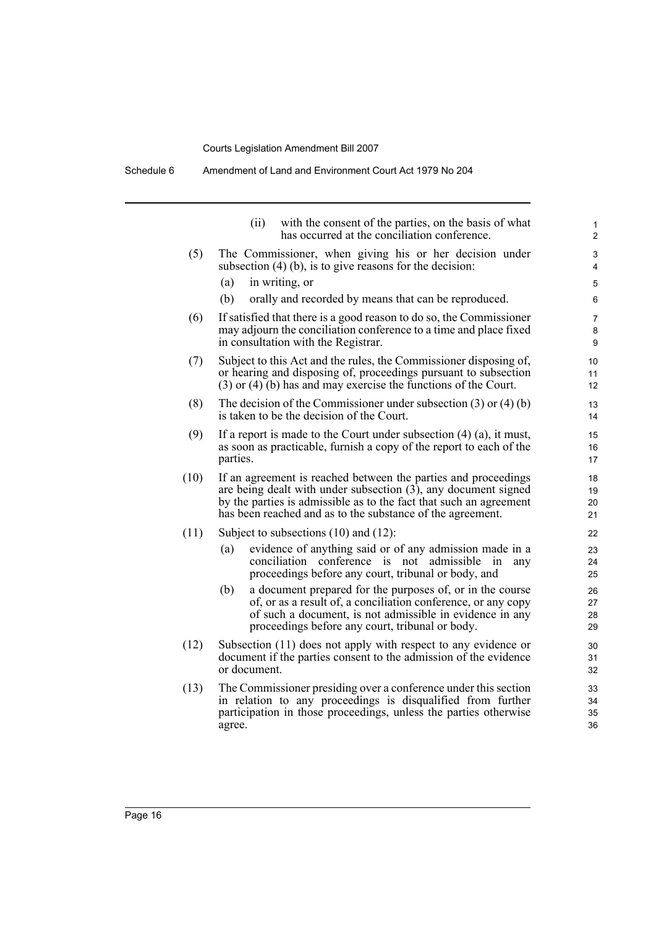Schedule 6 Amendment of Land and Environment Court Act 1979 No 204

|      | (ii)<br>with the consent of the parties, on the basis of what<br>has occurred at the conciliation conference.                                                                                                                                                           | $\mathbf{1}$<br>$\overline{2}$ |
|------|-------------------------------------------------------------------------------------------------------------------------------------------------------------------------------------------------------------------------------------------------------------------------|--------------------------------|
| (5)  | The Commissioner, when giving his or her decision under<br>subsection $(4)$ (b), is to give reasons for the decision:                                                                                                                                                   | 3<br>4                         |
|      | (a)<br>in writing, or                                                                                                                                                                                                                                                   | 5                              |
|      | (b)<br>orally and recorded by means that can be reproduced.                                                                                                                                                                                                             | 6                              |
| (6)  | If satisfied that there is a good reason to do so, the Commissioner<br>may adjourn the conciliation conference to a time and place fixed<br>in consultation with the Registrar.                                                                                         | 7<br>8<br>9                    |
| (7)  | Subject to this Act and the rules, the Commissioner disposing of,<br>or hearing and disposing of, proceedings pursuant to subsection<br>$(3)$ or $(4)$ (b) has and may exercise the functions of the Court.                                                             | 10<br>11<br>12                 |
| (8)  | The decision of the Commissioner under subsection $(3)$ or $(4)$ $(b)$<br>is taken to be the decision of the Court.                                                                                                                                                     | 13<br>14                       |
| (9)  | If a report is made to the Court under subsection $(4)$ $(a)$ , it must,<br>as soon as practicable, furnish a copy of the report to each of the<br>parties.                                                                                                             | 15<br>16<br>17                 |
| (10) | If an agreement is reached between the parties and proceedings<br>are being dealt with under subsection $(3)$ , any document signed<br>by the parties is admissible as to the fact that such an agreement<br>has been reached and as to the substance of the agreement. | 18<br>19<br>20<br>21           |
| (11) | Subject to subsections $(10)$ and $(12)$ :                                                                                                                                                                                                                              | 22                             |
|      | evidence of anything said or of any admission made in a<br>(a)<br>conciliation conference is not<br>admissible<br>1n<br>any<br>proceedings before any court, tribunal or body, and                                                                                      | 23<br>24<br>25                 |
|      | a document prepared for the purposes of, or in the course<br>(b)<br>of, or as a result of, a conciliation conference, or any copy<br>of such a document, is not admissible in evidence in any<br>proceedings before any court, tribunal or body.                        | 26<br>27<br>28<br>29           |
| (12) | Subsection (11) does not apply with respect to any evidence or<br>document if the parties consent to the admission of the evidence<br>or document.                                                                                                                      | 30<br>31<br>32                 |
| (13) | The Commissioner presiding over a conference under this section<br>in relation to any proceedings is disqualified from further<br>participation in those proceedings, unless the parties otherwise<br>agree.                                                            | 33<br>34<br>35<br>36           |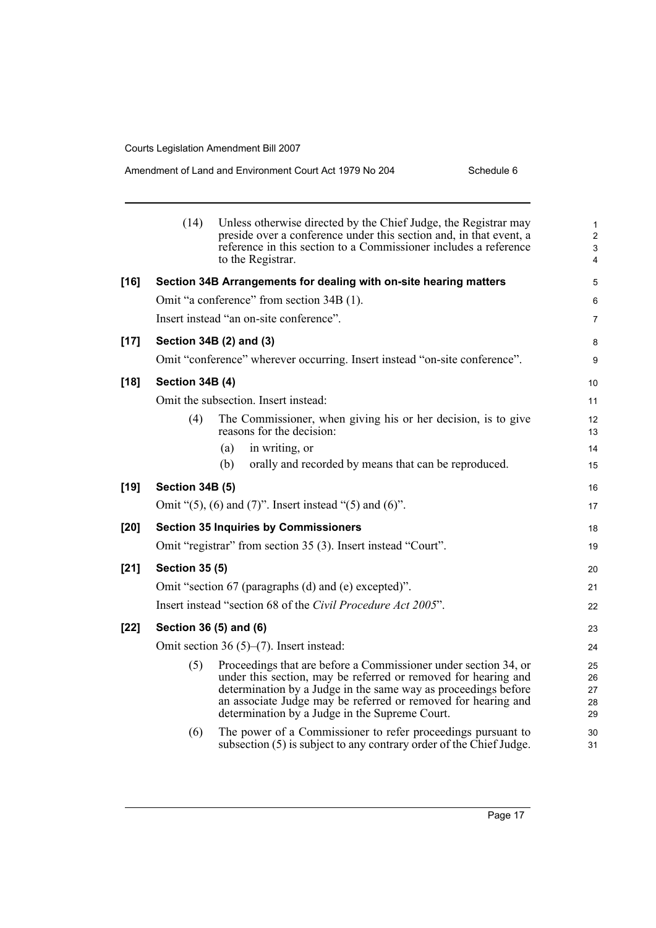#### Amendment of Land and Environment Court Act 1979 No 204 Schedule 6

|        | (14)                   | Unless otherwise directed by the Chief Judge, the Registrar may<br>preside over a conference under this section and, in that event, a<br>reference in this section to a Commissioner includes a reference<br>to the Registrar.                                                                                         | $\mathbf{1}$<br>$\overline{a}$<br>3<br>4 |
|--------|------------------------|------------------------------------------------------------------------------------------------------------------------------------------------------------------------------------------------------------------------------------------------------------------------------------------------------------------------|------------------------------------------|
| $[16]$ |                        | Section 34B Arrangements for dealing with on-site hearing matters                                                                                                                                                                                                                                                      | 5                                        |
|        |                        | Omit "a conference" from section 34B (1).                                                                                                                                                                                                                                                                              | 6                                        |
|        |                        | Insert instead "an on-site conference".                                                                                                                                                                                                                                                                                | $\overline{7}$                           |
| $[17]$ |                        | Section 34B (2) and (3)                                                                                                                                                                                                                                                                                                | 8                                        |
|        |                        | Omit "conference" wherever occurring. Insert instead "on-site conference".                                                                                                                                                                                                                                             | 9                                        |
| $[18]$ | <b>Section 34B (4)</b> |                                                                                                                                                                                                                                                                                                                        | 10 <sup>°</sup>                          |
|        |                        | Omit the subsection. Insert instead:                                                                                                                                                                                                                                                                                   | 11                                       |
|        | (4)                    | The Commissioner, when giving his or her decision, is to give<br>reasons for the decision:                                                                                                                                                                                                                             | 12<br>13                                 |
|        |                        | in writing, or<br>(a)                                                                                                                                                                                                                                                                                                  | 14                                       |
|        |                        | orally and recorded by means that can be reproduced.<br>(b)                                                                                                                                                                                                                                                            | 15                                       |
| $[19]$ | <b>Section 34B (5)</b> |                                                                                                                                                                                                                                                                                                                        | 16                                       |
|        |                        | Omit " $(5)$ , $(6)$ and $(7)$ ". Insert instead " $(5)$ and $(6)$ ".                                                                                                                                                                                                                                                  | 17                                       |
| $[20]$ |                        | <b>Section 35 Inquiries by Commissioners</b>                                                                                                                                                                                                                                                                           | 18                                       |
|        |                        | Omit "registrar" from section 35 (3). Insert instead "Court".                                                                                                                                                                                                                                                          | 19                                       |
| $[21]$ | <b>Section 35 (5)</b>  |                                                                                                                                                                                                                                                                                                                        | 20                                       |
|        |                        | Omit "section 67 (paragraphs (d) and (e) excepted)".                                                                                                                                                                                                                                                                   | 21                                       |
|        |                        | Insert instead "section 68 of the Civil Procedure Act 2005".                                                                                                                                                                                                                                                           | 22                                       |
| $[22]$ |                        | Section 36 (5) and (6)                                                                                                                                                                                                                                                                                                 | 23                                       |
|        |                        | Omit section 36 $(5)$ – $(7)$ . Insert instead:                                                                                                                                                                                                                                                                        | 24                                       |
|        | (5)                    | Proceedings that are before a Commissioner under section 34, or<br>under this section, may be referred or removed for hearing and<br>determination by a Judge in the same way as proceedings before<br>an associate Judge may be referred or removed for hearing and<br>determination by a Judge in the Supreme Court. | 25<br>26<br>27<br>28<br>29               |
|        | (6)                    | The power of a Commissioner to refer proceedings pursuant to<br>subsection (5) is subject to any contrary order of the Chief Judge.                                                                                                                                                                                    | 30<br>31                                 |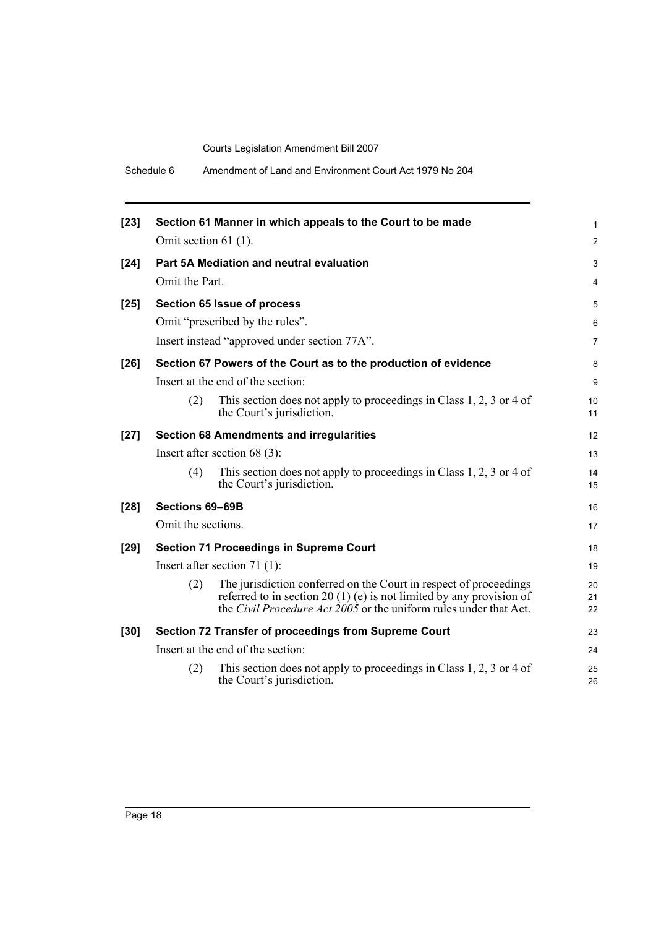Schedule 6 Amendment of Land and Environment Court Act 1979 No 204

| $[23]$ |                        | Section 61 Manner in which appeals to the Court to be made                                                                                                                                                              | 1              |
|--------|------------------------|-------------------------------------------------------------------------------------------------------------------------------------------------------------------------------------------------------------------------|----------------|
|        | Omit section $61$ (1). |                                                                                                                                                                                                                         | $\overline{2}$ |
| $[24]$ |                        | Part 5A Mediation and neutral evaluation                                                                                                                                                                                | 3              |
|        | Omit the Part.         |                                                                                                                                                                                                                         | 4              |
| $[25]$ |                        | Section 65 Issue of process                                                                                                                                                                                             | 5              |
|        |                        | Omit "prescribed by the rules".                                                                                                                                                                                         | 6              |
|        |                        | Insert instead "approved under section 77A".                                                                                                                                                                            | 7              |
| $[26]$ |                        | Section 67 Powers of the Court as to the production of evidence                                                                                                                                                         | 8              |
|        |                        | Insert at the end of the section:                                                                                                                                                                                       | 9              |
|        | (2)                    | This section does not apply to proceedings in Class 1, 2, 3 or 4 of<br>the Court's jurisdiction.                                                                                                                        | 10<br>11       |
| $[27]$ |                        | <b>Section 68 Amendments and irregularities</b>                                                                                                                                                                         | 12             |
|        |                        | Insert after section $68(3)$ :                                                                                                                                                                                          | 13             |
|        | (4)                    | This section does not apply to proceedings in Class 1, 2, 3 or 4 of<br>the Court's jurisdiction.                                                                                                                        | 14<br>15       |
| $[28]$ | Sections 69-69B        |                                                                                                                                                                                                                         | 16             |
|        | Omit the sections.     |                                                                                                                                                                                                                         | 17             |
| $[29]$ |                        | <b>Section 71 Proceedings in Supreme Court</b>                                                                                                                                                                          | 18             |
|        |                        | Insert after section 71 $(1)$ :                                                                                                                                                                                         | 19             |
|        | (2)                    | The jurisdiction conferred on the Court in respect of proceedings<br>referred to in section 20 (1) (e) is not limited by any provision of<br>the <i>Civil Procedure Act</i> $2005$ or the uniform rules under that Act. | 20<br>21<br>22 |
| $[30]$ |                        | Section 72 Transfer of proceedings from Supreme Court                                                                                                                                                                   | 23             |
|        |                        | Insert at the end of the section:                                                                                                                                                                                       | 24             |
|        | (2)                    | This section does not apply to proceedings in Class 1, 2, 3 or 4 of<br>the Court's jurisdiction.                                                                                                                        | 25<br>26       |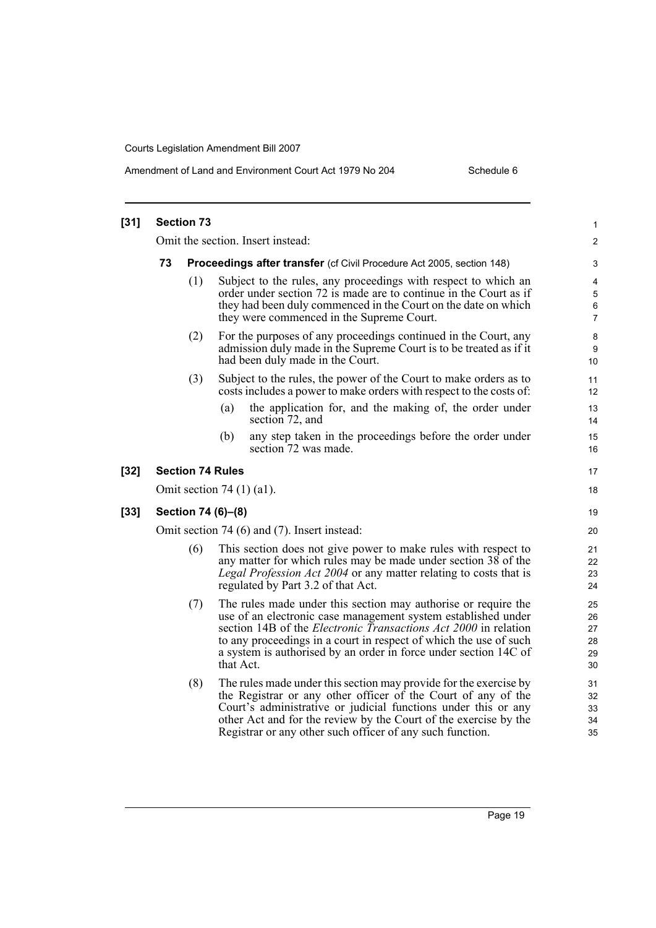Amendment of Land and Environment Court Act 1979 No 204 Schedule 6

| $[31]$ |                                              | <b>Section 73</b> |                                                                                                                                                                                                                                                                                                                                                                 | 1                                |  |  |
|--------|----------------------------------------------|-------------------|-----------------------------------------------------------------------------------------------------------------------------------------------------------------------------------------------------------------------------------------------------------------------------------------------------------------------------------------------------------------|----------------------------------|--|--|
|        | Omit the section. Insert instead:            |                   |                                                                                                                                                                                                                                                                                                                                                                 |                                  |  |  |
|        | 73                                           |                   | <b>Proceedings after transfer</b> (cf Civil Procedure Act 2005, section 148)                                                                                                                                                                                                                                                                                    | 3                                |  |  |
|        |                                              | (1)               | Subject to the rules, any proceedings with respect to which an<br>order under section 72 is made are to continue in the Court as if<br>they had been duly commenced in the Court on the date on which<br>they were commenced in the Supreme Court.                                                                                                              | 4<br>5<br>6<br>7                 |  |  |
|        |                                              | (2)               | For the purposes of any proceedings continued in the Court, any<br>admission duly made in the Supreme Court is to be treated as if it<br>had been duly made in the Court.                                                                                                                                                                                       | 8<br>9<br>10                     |  |  |
|        |                                              | (3)               | Subject to the rules, the power of the Court to make orders as to<br>costs includes a power to make orders with respect to the costs of:                                                                                                                                                                                                                        | 11<br>12                         |  |  |
|        |                                              |                   | the application for, and the making of, the order under<br>(a)<br>section 72, and                                                                                                                                                                                                                                                                               | 13<br>14                         |  |  |
|        |                                              |                   | any step taken in the proceedings before the order under<br>(b)<br>section 72 was made.                                                                                                                                                                                                                                                                         | 15<br>16                         |  |  |
| $[32]$ |                                              |                   | <b>Section 74 Rules</b>                                                                                                                                                                                                                                                                                                                                         | 17                               |  |  |
|        |                                              |                   | Omit section 74 $(1)$ $(a1)$ .                                                                                                                                                                                                                                                                                                                                  | 18                               |  |  |
| $[33]$ | Section 74 (6)–(8)                           |                   |                                                                                                                                                                                                                                                                                                                                                                 |                                  |  |  |
|        | Omit section 74 (6) and (7). Insert instead: |                   |                                                                                                                                                                                                                                                                                                                                                                 |                                  |  |  |
|        |                                              | (6)               | This section does not give power to make rules with respect to<br>any matter for which rules may be made under section 38 of the<br>Legal Profession Act 2004 or any matter relating to costs that is<br>regulated by Part 3.2 of that Act.                                                                                                                     | 21<br>22<br>23<br>24             |  |  |
|        |                                              | (7)               | The rules made under this section may authorise or require the<br>use of an electronic case management system established under<br>section 14B of the <i>Electronic Transactions Act 2000</i> in relation<br>to any proceedings in a court in respect of which the use of such<br>a system is authorised by an order in force under section 14C of<br>that Act. | 25<br>26<br>27<br>28<br>29<br>30 |  |  |
|        |                                              | (8)               | The rules made under this section may provide for the exercise by<br>the Registrar or any other officer of the Court of any of the<br>Court's administrative or judicial functions under this or any<br>other Act and for the review by the Court of the exercise by the<br>Registrar or any other such officer of any such function.                           | 31<br>32<br>33<br>34<br>35       |  |  |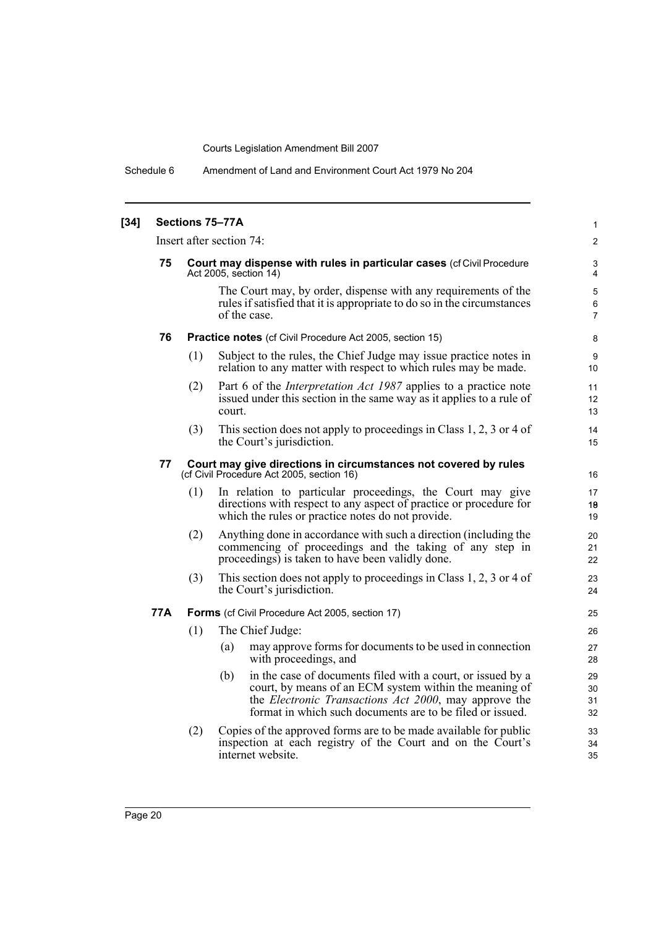Schedule 6 Amendment of Land and Environment Court Act 1979 No 204

| $[34]$ | Sections 75-77A |                                                                                                              |                                                                                                                                                                                                                                                            |                                    |  |  |  |
|--------|-----------------|--------------------------------------------------------------------------------------------------------------|------------------------------------------------------------------------------------------------------------------------------------------------------------------------------------------------------------------------------------------------------------|------------------------------------|--|--|--|
|        |                 | Insert after section 74:                                                                                     |                                                                                                                                                                                                                                                            |                                    |  |  |  |
|        | 75              |                                                                                                              | Court may dispense with rules in particular cases (cf Civil Procedure<br>Act 2005, section 14)                                                                                                                                                             | 3<br>$\overline{4}$                |  |  |  |
|        |                 |                                                                                                              | The Court may, by order, dispense with any requirements of the<br>rules if satisfied that it is appropriate to do so in the circumstances<br>of the case.                                                                                                  | $\mathbf 5$<br>6<br>$\overline{7}$ |  |  |  |
|        | 76              |                                                                                                              | <b>Practice notes</b> (cf Civil Procedure Act 2005, section 15)                                                                                                                                                                                            |                                    |  |  |  |
|        |                 | (1)                                                                                                          | Subject to the rules, the Chief Judge may issue practice notes in<br>relation to any matter with respect to which rules may be made.                                                                                                                       | 9<br>10                            |  |  |  |
|        |                 | (2)                                                                                                          | Part 6 of the <i>Interpretation Act 1987</i> applies to a practice note<br>issued under this section in the same way as it applies to a rule of<br>court.                                                                                                  | 11<br>12<br>13                     |  |  |  |
|        |                 | (3)                                                                                                          | This section does not apply to proceedings in Class 1, 2, 3 or 4 of<br>the Court's jurisdiction.                                                                                                                                                           | 14<br>15                           |  |  |  |
|        | 77              | Court may give directions in circumstances not covered by rules<br>(cf Civil Procedure Act 2005, section 16) |                                                                                                                                                                                                                                                            |                                    |  |  |  |
|        |                 | (1)                                                                                                          | In relation to particular proceedings, the Court may give<br>directions with respect to any aspect of practice or procedure for<br>which the rules or practice notes do not provide.                                                                       | 17<br>19<br>19                     |  |  |  |
|        |                 | (2)                                                                                                          | Anything done in accordance with such a direction (including the<br>commencing of proceedings and the taking of any step in<br>proceedings) is taken to have been validly done.                                                                            | 20<br>21<br>22                     |  |  |  |
|        |                 | (3)                                                                                                          | This section does not apply to proceedings in Class 1, 2, 3 or 4 of<br>the Court's jurisdiction.                                                                                                                                                           | 23<br>24                           |  |  |  |
|        | 77A             | Forms (cf Civil Procedure Act 2005, section 17)                                                              |                                                                                                                                                                                                                                                            |                                    |  |  |  |
|        |                 | (1)                                                                                                          | The Chief Judge:                                                                                                                                                                                                                                           | 26                                 |  |  |  |
|        |                 |                                                                                                              | may approve forms for documents to be used in connection<br>(a)<br>with proceedings, and                                                                                                                                                                   | 27<br>28                           |  |  |  |
|        |                 |                                                                                                              | in the case of documents filed with a court, or issued by a<br>(b)<br>court, by means of an ECM system within the meaning of<br>the <i>Electronic Transactions Act 2000</i> , may approve the<br>format in which such documents are to be filed or issued. | 29<br>30<br>31<br>32               |  |  |  |
|        |                 | (2)                                                                                                          | Copies of the approved forms are to be made available for public<br>inspection at each registry of the Court and on the Court's<br>internet website.                                                                                                       | 33<br>34<br>35                     |  |  |  |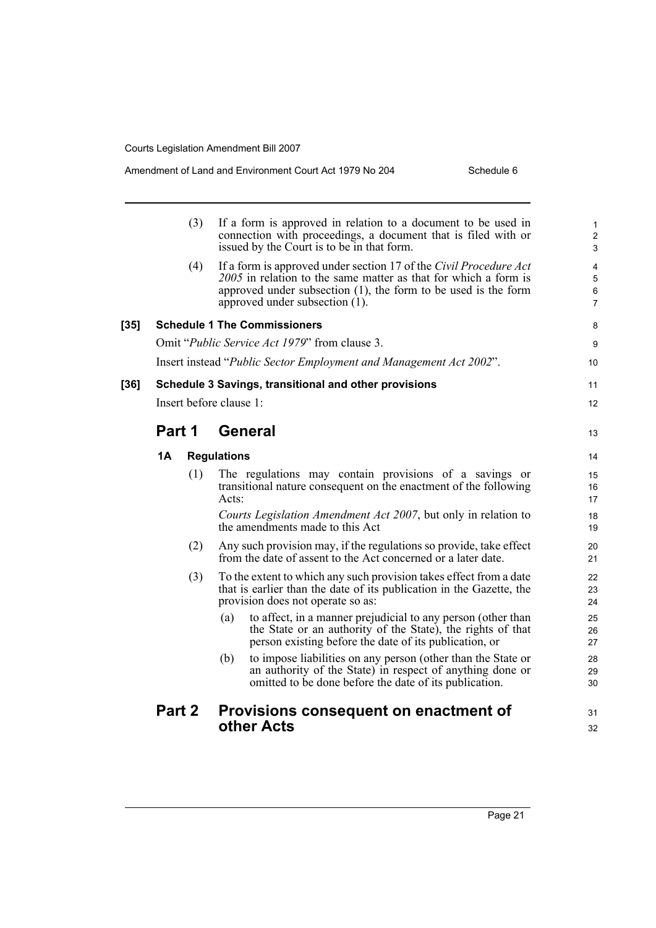#### Amendment of Land and Environment Court Act 1979 No 204 Schedule 6

|      |        | (3) | If a form is approved in relation to a document to be used in<br>connection with proceedings, a document that is filed with or<br>issued by the Court is to be in that form.                                                                | $\mathbf{1}$<br>$\overline{c}$<br>3 |
|------|--------|-----|---------------------------------------------------------------------------------------------------------------------------------------------------------------------------------------------------------------------------------------------|-------------------------------------|
|      |        | (4) | If a form is approved under section 17 of the Civil Procedure Act<br>2005 in relation to the same matter as that for which a form is<br>approved under subsection $(1)$ , the form to be used is the form<br>approved under subsection (1). | 4<br>5<br>6<br>$\overline{7}$       |
| [35] |        |     | <b>Schedule 1 The Commissioners</b>                                                                                                                                                                                                         | 8                                   |
|      |        |     | Omit " <i>Public Service Act 1979</i> " from clause 3.                                                                                                                                                                                      | 9                                   |
|      |        |     | Insert instead "Public Sector Employment and Management Act 2002".                                                                                                                                                                          | 10                                  |
| [36] |        |     | Schedule 3 Savings, transitional and other provisions                                                                                                                                                                                       | 11                                  |
|      |        |     | Insert before clause 1:                                                                                                                                                                                                                     | 12                                  |
|      | Part 1 |     | General                                                                                                                                                                                                                                     | 13                                  |
|      | 1A     |     | <b>Regulations</b>                                                                                                                                                                                                                          | 14                                  |
|      |        | (1) | The regulations may contain provisions of a savings or<br>transitional nature consequent on the enactment of the following<br>Acts:                                                                                                         | 15<br>16<br>17                      |
|      |        |     | Courts Legislation Amendment Act 2007, but only in relation to<br>the amendments made to this Act                                                                                                                                           | 18<br>19                            |
|      |        | (2) | Any such provision may, if the regulations so provide, take effect<br>from the date of assent to the Act concerned or a later date.                                                                                                         | 20<br>21                            |
|      |        | (3) | To the extent to which any such provision takes effect from a date<br>that is earlier than the date of its publication in the Gazette, the<br>provision does not operate so as:                                                             | 22<br>23<br>24                      |
|      |        |     | to affect, in a manner prejudicial to any person (other than<br>(a)<br>the State or an authority of the State), the rights of that<br>person existing before the date of its publication, or                                                | 25<br>26<br>27                      |
|      |        |     | to impose liabilities on any person (other than the State or<br>(b)<br>an authority of the State) in respect of anything done or<br>omitted to be done before the date of its publication.                                                  | 28<br>29<br>30                      |
|      | Part 2 |     | Provisions consequent on enactment of                                                                                                                                                                                                       | 31                                  |
|      |        |     | other Acts                                                                                                                                                                                                                                  | 32                                  |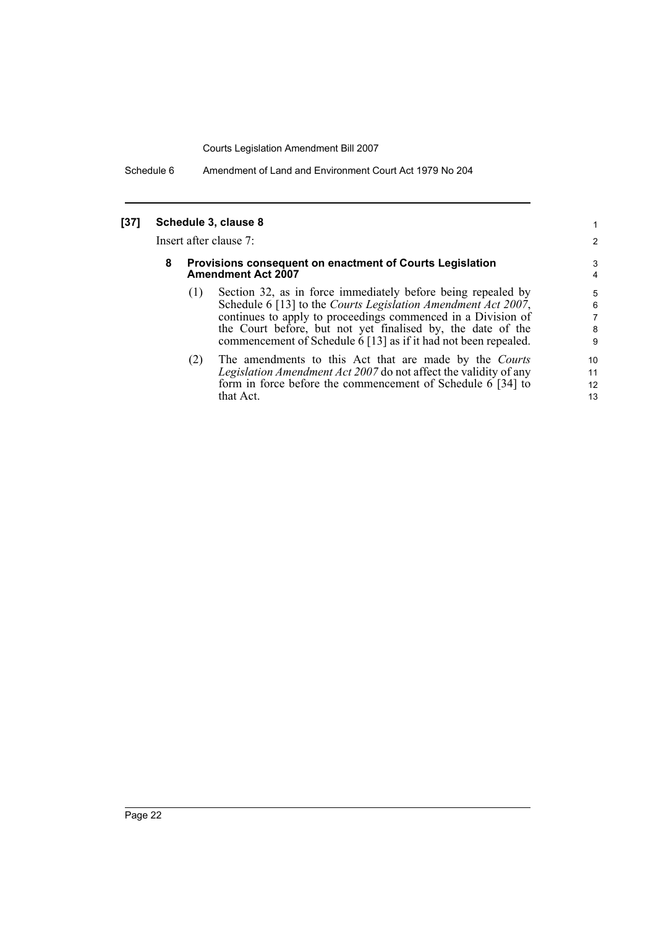Schedule 6 Amendment of Land and Environment Court Act 1979 No 204

#### **[37] Schedule 3, clause 8**

Insert after clause 7:

#### **8 Provisions consequent on enactment of Courts Legislation Amendment Act 2007**

(1) Section 32, as in force immediately before being repealed by Schedule 6 [13] to the *Courts Legislation Amendment Act 2007*, continues to apply to proceedings commenced in a Division of the Court before, but not yet finalised by, the date of the commencement of Schedule 6 [13] as if it had not been repealed.

(2) The amendments to this Act that are made by the *Courts Legislation Amendment Act 2007* do not affect the validity of any form in force before the commencement of Schedule 6 [34] to that Act.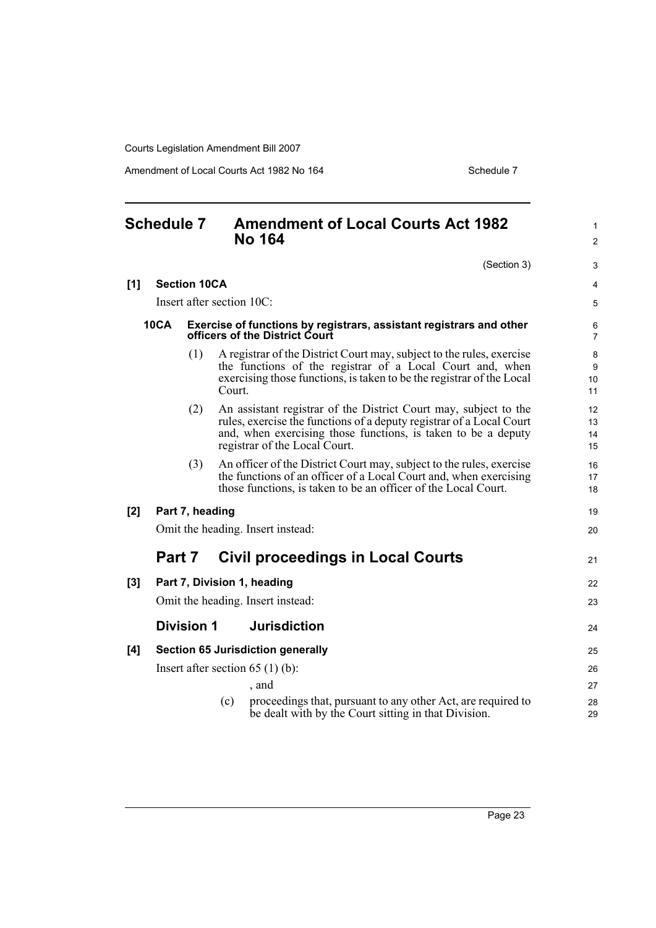Amendment of Local Courts Act 1982 No 164 Schedule 7 Schedule 7

<span id="page-32-0"></span>

|     | <b>Schedule 7</b> |                     |        | <b>Amendment of Local Courts Act 1982</b><br><b>No 164</b>                                                                                                                                                                                 | $\mathbf{1}$<br>$\overline{c}$ |
|-----|-------------------|---------------------|--------|--------------------------------------------------------------------------------------------------------------------------------------------------------------------------------------------------------------------------------------------|--------------------------------|
|     |                   |                     |        | (Section 3)                                                                                                                                                                                                                                | 3                              |
| [1] |                   | <b>Section 10CA</b> |        |                                                                                                                                                                                                                                            | 4                              |
|     |                   |                     |        | Insert after section 10C:                                                                                                                                                                                                                  | 5                              |
|     | <b>10CA</b>       |                     |        | Exercise of functions by registrars, assistant registrars and other<br>officers of the District Court                                                                                                                                      | 6<br>$\overline{7}$            |
|     |                   | (1)                 | Court. | A registrar of the District Court may, subject to the rules, exercise<br>the functions of the registrar of a Local Court and, when<br>exercising those functions, is taken to be the registrar of the Local                                | 8<br>9<br>10<br>11             |
|     |                   | (2)                 |        | An assistant registrar of the District Court may, subject to the<br>rules, exercise the functions of a deputy registrar of a Local Court<br>and, when exercising those functions, is taken to be a deputy<br>registrar of the Local Court. | 12<br>13<br>14<br>15           |
|     |                   | (3)                 |        | An officer of the District Court may, subject to the rules, exercise<br>the functions of an officer of a Local Court and, when exercising<br>those functions, is taken to be an officer of the Local Court.                                | 16<br>17<br>18                 |
| [2] |                   | Part 7, heading     |        |                                                                                                                                                                                                                                            | 19                             |
|     |                   |                     |        | Omit the heading. Insert instead:                                                                                                                                                                                                          | 20                             |
|     | Part 7            |                     |        | Civil proceedings in Local Courts                                                                                                                                                                                                          | 21                             |
| [3] |                   |                     |        | Part 7, Division 1, heading                                                                                                                                                                                                                | 22                             |
|     |                   |                     |        | Omit the heading. Insert instead:                                                                                                                                                                                                          | 23                             |
|     |                   | <b>Division 1</b>   |        | <b>Jurisdiction</b>                                                                                                                                                                                                                        | 24                             |
| [4] |                   |                     |        | <b>Section 65 Jurisdiction generally</b>                                                                                                                                                                                                   | 25                             |
|     |                   |                     |        | Insert after section $65(1)(b)$ :                                                                                                                                                                                                          | 26                             |
|     |                   |                     |        | , and                                                                                                                                                                                                                                      | 27                             |
|     |                   |                     | (c)    | proceedings that, pursuant to any other Act, are required to<br>be dealt with by the Court sitting in that Division.                                                                                                                       | 28<br>29                       |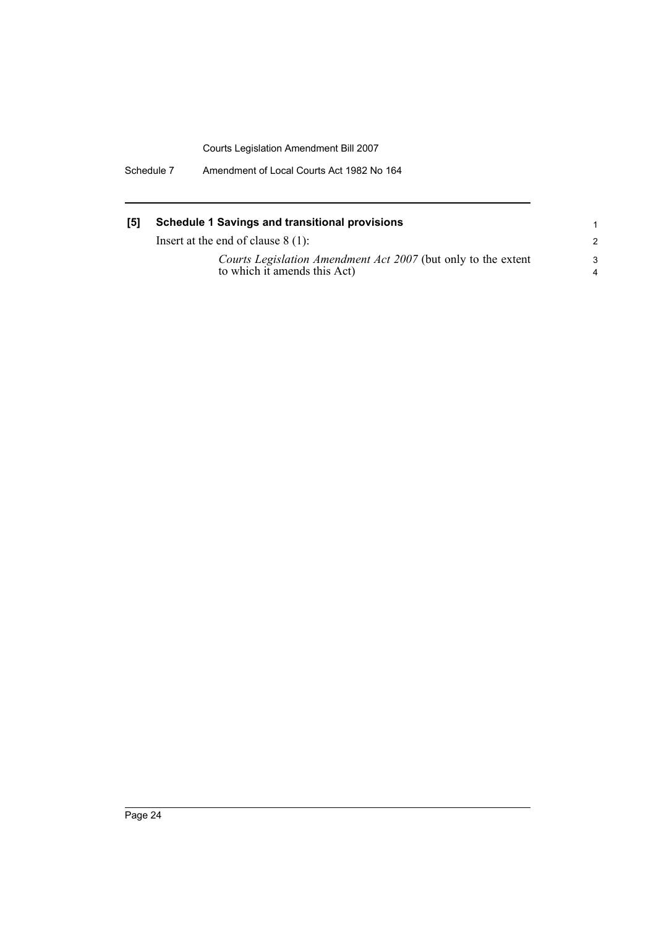Schedule 7 Amendment of Local Courts Act 1982 No 164

### **[5] Schedule 1 Savings and transitional provisions**

Insert at the end of clause 8 (1):

*Courts Legislation Amendment Act 2007* (but only to the extent to which it amends this Act)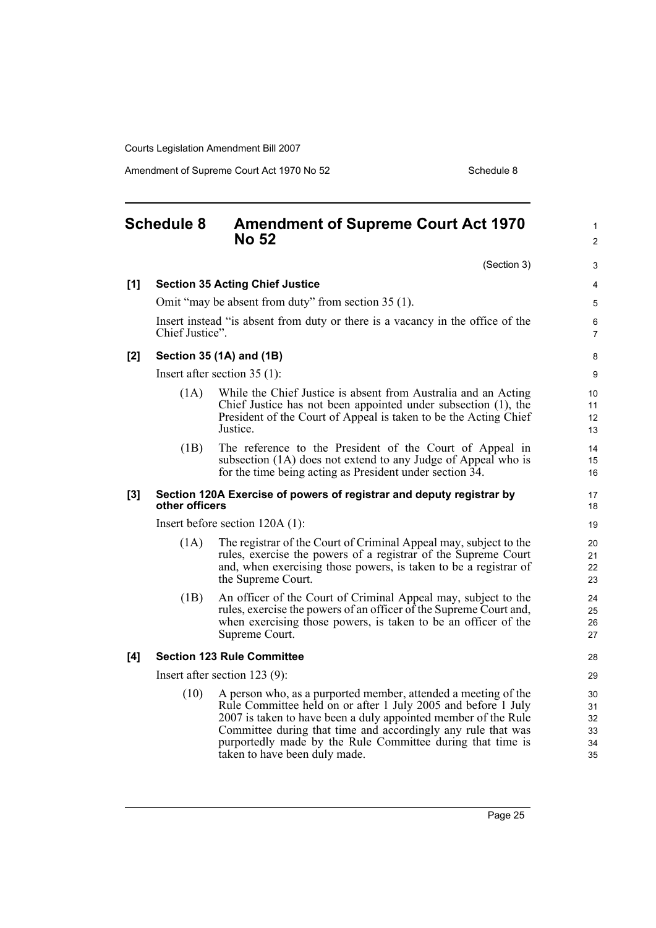Amendment of Supreme Court Act 1970 No 52 Schedule 8

<span id="page-34-0"></span>

|       | <b>Schedule 8</b> | <b>Amendment of Supreme Court Act 1970</b><br><b>No 52</b>                                                                                                                                                                                                                                                                                                       | 1<br>$\overline{2}$               |
|-------|-------------------|------------------------------------------------------------------------------------------------------------------------------------------------------------------------------------------------------------------------------------------------------------------------------------------------------------------------------------------------------------------|-----------------------------------|
|       |                   | (Section 3)                                                                                                                                                                                                                                                                                                                                                      | 3                                 |
| [1]   |                   | <b>Section 35 Acting Chief Justice</b>                                                                                                                                                                                                                                                                                                                           | 4                                 |
|       |                   | Omit "may be absent from duty" from section 35 (1).                                                                                                                                                                                                                                                                                                              | 5                                 |
|       | Chief Justice".   | Insert instead "is absent from duty or there is a vacancy in the office of the                                                                                                                                                                                                                                                                                   | 6<br>$\overline{7}$               |
| [2]   |                   | Section 35 (1A) and (1B)                                                                                                                                                                                                                                                                                                                                         | 8                                 |
|       |                   | Insert after section $35(1)$ :                                                                                                                                                                                                                                                                                                                                   | 9                                 |
|       | (1A)              | While the Chief Justice is absent from Australia and an Acting<br>Chief Justice has not been appointed under subsection (1), the<br>President of the Court of Appeal is taken to be the Acting Chief<br>Justice.                                                                                                                                                 | 10 <sup>°</sup><br>11<br>12<br>13 |
|       | (1B)              | The reference to the President of the Court of Appeal in<br>subsection (1A) does not extend to any Judge of Appeal who is<br>for the time being acting as President under section 34.                                                                                                                                                                            | 14<br>15<br>16                    |
| $[3]$ | other officers    | Section 120A Exercise of powers of registrar and deputy registrar by                                                                                                                                                                                                                                                                                             | 17<br>18                          |
|       |                   | Insert before section $120A(1)$ :                                                                                                                                                                                                                                                                                                                                | 19                                |
|       | (1A)              | The registrar of the Court of Criminal Appeal may, subject to the<br>rules, exercise the powers of a registrar of the Supreme Court<br>and, when exercising those powers, is taken to be a registrar of<br>the Supreme Court.                                                                                                                                    | 20<br>21<br>22<br>23              |
|       | (1B)              | An officer of the Court of Criminal Appeal may, subject to the<br>rules, exercise the powers of an officer of the Supreme Court and,<br>when exercising those powers, is taken to be an officer of the<br>Supreme Court.                                                                                                                                         | 24<br>25<br>26<br>27              |
| [4]   |                   | <b>Section 123 Rule Committee</b>                                                                                                                                                                                                                                                                                                                                | 28                                |
|       |                   | Insert after section $123(9)$ :                                                                                                                                                                                                                                                                                                                                  | 29                                |
|       | (10)              | A person who, as a purported member, attended a meeting of the<br>Rule Committee held on or after 1 July 2005 and before 1 July<br>2007 is taken to have been a duly appointed member of the Rule<br>Committee during that time and accordingly any rule that was<br>purportedly made by the Rule Committee during that time is<br>taken to have been duly made. | 30<br>31<br>32<br>33<br>34<br>35  |